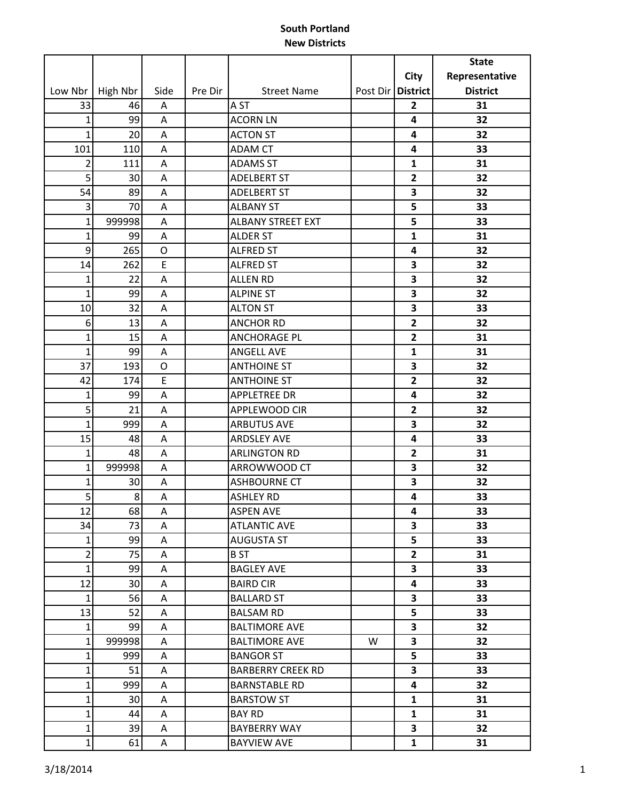|                |          |                |         |                          |                     |                         | <b>State</b>    |
|----------------|----------|----------------|---------|--------------------------|---------------------|-------------------------|-----------------|
|                |          |                |         |                          |                     | <b>City</b>             | Representative  |
| Low Nbr        | High Nbr | Side           | Pre Dir | <b>Street Name</b>       | Post Dir   District |                         | <b>District</b> |
| 33             | 46       | Α              |         | A <sub>ST</sub>          |                     | $\overline{2}$          | 31              |
| $\mathbf{1}$   | 99       | Α              |         | <b>ACORN LN</b>          |                     | 4                       | 32              |
| $\mathbf{1}$   | 20       | A              |         | <b>ACTON ST</b>          |                     | 4                       | 32              |
| 101            | 110      | Α              |         | <b>ADAM CT</b>           |                     | 4                       | 33              |
| $\overline{2}$ | 111      | Α              |         | <b>ADAMS ST</b>          |                     | $\mathbf{1}$            | 31              |
| 5              | 30       | Α              |         | <b>ADELBERT ST</b>       |                     | $\mathbf{2}$            | 32              |
| 54             | 89       | A              |         | <b>ADELBERT ST</b>       |                     | 3                       | 32              |
| 3              | 70       | A              |         | <b>ALBANY ST</b>         |                     | 5                       | 33              |
| $\mathbf{1}$   | 999998   | Α              |         | <b>ALBANY STREET EXT</b> |                     | 5                       | 33              |
| $\mathbf{1}$   | 99       | Α              |         | <b>ALDER ST</b>          |                     | $\mathbf{1}$            | 31              |
| 9              | 265      | $\mathsf O$    |         | <b>ALFRED ST</b>         |                     | 4                       | 32              |
| 14             | 262      | E              |         | <b>ALFRED ST</b>         |                     | 3                       | 32              |
| $\mathbf{1}$   | 22       | A              |         | <b>ALLEN RD</b>          |                     | 3                       | 32              |
| $\mathbf{1}$   | 99       | Α              |         | <b>ALPINE ST</b>         |                     | 3                       | 32              |
| 10             | 32       | Α              |         | <b>ALTON ST</b>          |                     | 3                       | 33              |
| 6              | 13       | Α              |         | <b>ANCHOR RD</b>         |                     | $\overline{2}$          | 32              |
| $\mathbf 1$    | 15       | Α              |         | <b>ANCHORAGE PL</b>      |                     | $\overline{2}$          | 31              |
| $\mathbf{1}$   | 99       | $\overline{A}$ |         | <b>ANGELL AVE</b>        |                     | $\mathbf{1}$            | 31              |
| 37             | 193      | O              |         | <b>ANTHOINE ST</b>       |                     | 3                       | 32              |
| 42             | 174      | E              |         | <b>ANTHOINE ST</b>       |                     | $\overline{2}$          | 32              |
| $\mathbf 1$    | 99       | Α              |         | <b>APPLETREE DR</b>      |                     | 4                       | 32              |
| 5              | 21       | Α              |         | APPLEWOOD CIR            |                     | $\overline{2}$          | 32              |
| $\mathbf{1}$   | 999      | Α              |         | <b>ARBUTUS AVE</b>       |                     | 3                       | 32              |
| 15             | 48       | A              |         | <b>ARDSLEY AVE</b>       |                     | 4                       | 33              |
| $\mathbf{1}$   | 48       | Α              |         | <b>ARLINGTON RD</b>      |                     | $\overline{2}$          | 31              |
| $\mathbf{1}$   | 999998   | Α              |         | ARROWWOOD CT             |                     | 3                       | 32              |
| $\mathbf{1}$   | 30       | Α              |         | <b>ASHBOURNE CT</b>      |                     | 3                       | 32              |
| 5              | 8        | Α              |         | <b>ASHLEY RD</b>         |                     | 4                       | 33              |
| 12             | 68       | $\mathsf A$    |         | <b>ASPEN AVE</b>         |                     | 4                       | 33              |
| 34             | 73       | A              |         | <b>ATLANTIC AVE</b>      |                     | 3                       | 33              |
| $\mathbf{1}$   | 99       | A              |         | <b>AUGUSTA ST</b>        |                     | 5                       | 33              |
| $\overline{2}$ | 75       | A              |         | B ST                     |                     | $\mathbf{2}$            | 31              |
| $\mathbf{1}$   | 99       | A              |         | <b>BAGLEY AVE</b>        |                     | $\overline{\mathbf{3}}$ | 33              |
| 12             | 30       | A              |         | <b>BAIRD CIR</b>         |                     | $\overline{\mathbf{4}}$ | 33              |
| $\mathbf{1}$   | 56       | A              |         | <b>BALLARD ST</b>        |                     | 3                       | 33              |
| 13             | 52       | A              |         | <b>BALSAM RD</b>         |                     | 5                       | 33              |
| $\mathbf{1}$   | 99       | A              |         | <b>BALTIMORE AVE</b>     |                     | 3                       | 32              |
| $\mathbf{1}$   | 999998   | A              |         | <b>BALTIMORE AVE</b>     | W                   | $\overline{\mathbf{3}}$ | 32              |
| 1              | 999      | A              |         | <b>BANGOR ST</b>         |                     | 5                       | 33              |
| $\mathbf{1}$   | 51       | A              |         | <b>BARBERRY CREEK RD</b> |                     | 3                       | 33              |
| $\mathbf{1}$   | 999      | A              |         | <b>BARNSTABLE RD</b>     |                     | 4                       | 32              |
| $\mathbf{1}$   | 30       | A              |         | <b>BARSTOW ST</b>        |                     | $\mathbf{1}$            | 31              |
| $\mathbf{1}$   | 44       | A              |         | <b>BAY RD</b>            |                     | $\mathbf{1}$            | 31              |
| $\mathbf 1$    | 39       | A              |         | <b>BAYBERRY WAY</b>      |                     | 3                       | 32              |
| $\mathbf{1}$   | 61       | A              |         | <b>BAYVIEW AVE</b>       |                     | $\mathbf{1}$            | 31              |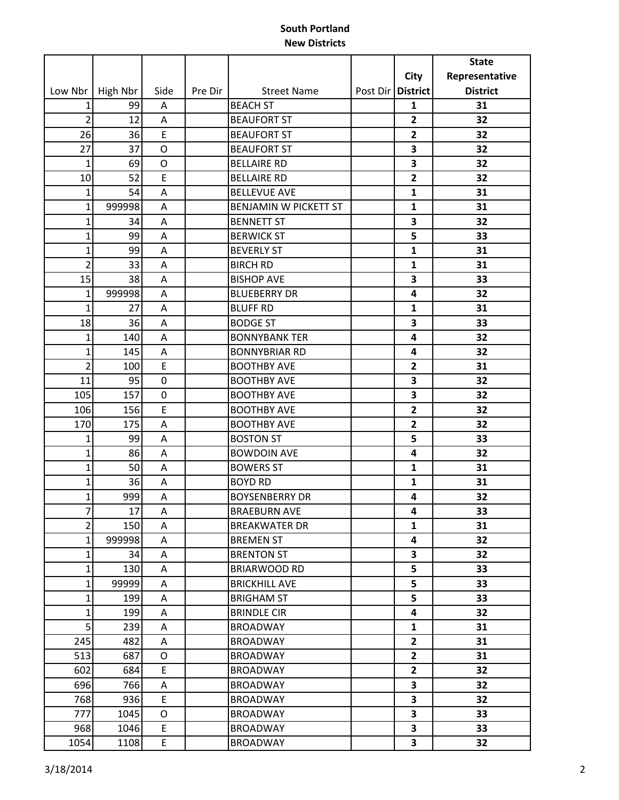|                |          |                  |         |                       |                     |                | <b>State</b>    |
|----------------|----------|------------------|---------|-----------------------|---------------------|----------------|-----------------|
|                |          |                  |         |                       |                     | <b>City</b>    | Representative  |
| Low Nbr        | High Nbr | Side             | Pre Dir | <b>Street Name</b>    | Post Dir   District |                | <b>District</b> |
| 1              | 99       | Α                |         | <b>BEACH ST</b>       |                     | 1              | 31              |
| $\overline{2}$ | 12       | Α                |         | <b>BEAUFORT ST</b>    |                     | $\overline{2}$ | 32              |
| 26             | 36       | E                |         | <b>BEAUFORT ST</b>    |                     | $\overline{2}$ | 32              |
| 27             | 37       | O                |         | <b>BEAUFORT ST</b>    |                     | 3              | 32              |
| $\mathbf{1}$   | 69       | $\circ$          |         | <b>BELLAIRE RD</b>    |                     | 3              | 32              |
| 10             | 52       | $\mathsf E$      |         | <b>BELLAIRE RD</b>    |                     | $\overline{2}$ | 32              |
| $\mathbf{1}$   | 54       | A                |         | <b>BELLEVUE AVE</b>   |                     | $\mathbf{1}$   | 31              |
| $\mathbf{1}$   | 999998   | A                |         | BENJAMIN W PICKETT ST |                     | $\mathbf{1}$   | 31              |
| $\mathbf{1}$   | 34       | A                |         | <b>BENNETT ST</b>     |                     | 3              | 32              |
| $\mathbf{1}$   | 99       | A                |         | <b>BERWICK ST</b>     |                     | 5              | 33              |
| $\mathbf{1}$   | 99       | A                |         | <b>BEVERLY ST</b>     |                     | $\mathbf{1}$   | 31              |
| $\overline{2}$ | 33       | Α                |         | <b>BIRCH RD</b>       |                     | 1              | 31              |
| 15             | 38       | Α                |         | <b>BISHOP AVE</b>     |                     | 3              | 33              |
| $\mathbf{1}$   | 999998   | A                |         | <b>BLUEBERRY DR</b>   |                     | 4              | 32              |
| $\mathbf{1}$   | 27       | Α                |         | <b>BLUFF RD</b>       |                     | $\mathbf{1}$   | 31              |
| 18             | 36       | A                |         | <b>BODGE ST</b>       |                     | 3              | 33              |
| $\mathbf{1}$   | 140      | Α                |         | <b>BONNYBANK TER</b>  |                     | 4              | 32              |
| $\mathbf{1}$   | 145      | A                |         | <b>BONNYBRIAR RD</b>  |                     | 4              | 32              |
| $\overline{2}$ | 100      | E                |         | <b>BOOTHBY AVE</b>    |                     | 2              | 31              |
| 11             | 95       | $\boldsymbol{0}$ |         | <b>BOOTHBY AVE</b>    |                     | 3              | 32              |
| 105            | 157      | $\boldsymbol{0}$ |         | <b>BOOTHBY AVE</b>    |                     | 3              | 32              |
| 106            | 156      | E                |         | <b>BOOTHBY AVE</b>    |                     | $\overline{2}$ | 32              |
| 170            | 175      | A                |         | <b>BOOTHBY AVE</b>    |                     | $\overline{2}$ | 32              |
| 1              | 99       | $\mathsf A$      |         | <b>BOSTON ST</b>      |                     | 5              | 33              |
| $\mathbf{1}$   | 86       | A                |         | <b>BOWDOIN AVE</b>    |                     | 4              | 32              |
| $\mathbf{1}$   | 50       | Α                |         | <b>BOWERS ST</b>      |                     | $\mathbf{1}$   | 31              |
| $\mathbf{1}$   | 36       | A                |         | <b>BOYD RD</b>        |                     | 1              | 31              |
| $\mathbf{1}$   | 999      | A                |         | <b>BOYSENBERRY DR</b> |                     | 4              | 32              |
| 7              | $17$     | $\mathsf A$      |         | <b>BRAEBURN AVE</b>   |                     | 4              | 33              |
| $\overline{2}$ | 150      | Α                |         | <b>BREAKWATER DR</b>  |                     | $\mathbf{1}$   | 31              |
| $\mathbf{1}$   | 999998   | Α                |         | <b>BREMEN ST</b>      |                     | 4              | 32              |
| $\mathbf{1}$   | 34       | Α                |         | <b>BRENTON ST</b>     |                     | 3              | 32              |
| $\mathbf{1}$   | 130      | Α                |         | <b>BRIARWOOD RD</b>   |                     | 5              | 33              |
| $\mathbf{1}$   | 99999    | Α                |         | <b>BRICKHILL AVE</b>  |                     | 5              | 33              |
| $\mathbf{1}$   | 199      | Α                |         | <b>BRIGHAM ST</b>     |                     | 5              | 33              |
| $\mathbf{1}$   | 199      | Α                |         | <b>BRINDLE CIR</b>    |                     | 4              | 32              |
| 5              | 239      | Α                |         | <b>BROADWAY</b>       |                     | 1              | 31              |
| 245            | 482      | Α                |         | <b>BROADWAY</b>       |                     | $\mathbf{2}$   | 31              |
| 513            | 687      | O                |         | <b>BROADWAY</b>       |                     | $\overline{2}$ | 31              |
| 602            | 684      | E                |         | <b>BROADWAY</b>       |                     | $\mathbf{2}$   | 32              |
| 696            | 766      | Α                |         | <b>BROADWAY</b>       |                     | 3              | 32              |
| 768            | 936      | $\mathsf E$      |         | <b>BROADWAY</b>       |                     | 3              | 32              |
| 777            | 1045     | O                |         | <b>BROADWAY</b>       |                     | 3              | 33              |
| 968            | 1046     | E                |         | <b>BROADWAY</b>       |                     | 3              | 33              |
| 1054           | 1108     | E                |         | <b>BROADWAY</b>       |                     | 3              | 32              |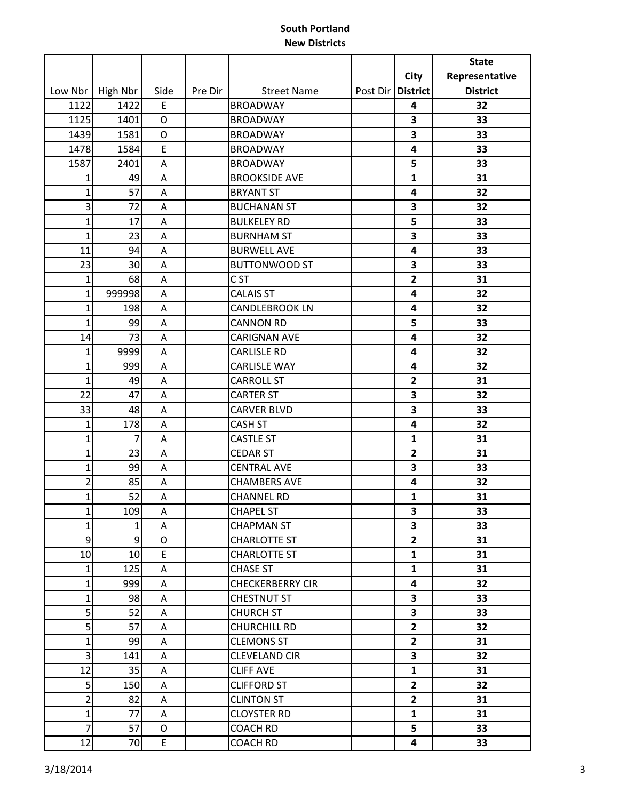| City<br>Representative<br><b>District</b><br><b>District</b><br>Low Nbr<br>High Nbr<br>Side<br>Pre Dir<br><b>Street Name</b><br>Post Dir<br>1122<br>1422<br>E<br><b>BROADWAY</b><br>32<br>4<br>1125<br>3<br>1401<br><b>BROADWAY</b><br>33<br>$\circ$<br>1439<br>3<br>1581<br>$\mathsf O$<br><b>BROADWAY</b><br>33<br>E<br>1478<br>1584<br>33<br><b>BROADWAY</b><br>4<br>1587<br>5<br>33<br>2401<br><b>BROADWAY</b><br>A<br><b>BROOKSIDE AVE</b><br>$\mathbf{1}$<br>31<br>49<br>A<br>1<br>$\mathbf{1}$<br>57<br>32<br><b>BRYANT ST</b><br>4<br>A<br>3<br>72<br>A<br><b>BUCHANAN ST</b><br>3<br>32<br>$\mathbf 1$<br>17<br><b>BULKELEY RD</b><br>5<br>33<br>Α<br>$\mathbf{1}$<br>23<br><b>BURNHAM ST</b><br>3<br>33<br>Α<br>94<br>11<br><b>BURWELL AVE</b><br>4<br>33<br>A<br>23<br><b>BUTTONWOOD ST</b><br>3<br>30<br>33<br>A<br>C <sub>ST</sub><br>$\overline{2}$<br>$\mathbf{1}$<br>68<br>31<br>Α<br>$\mathbf{1}$<br><b>CALAIS ST</b><br>999998<br>32<br>Α<br>4<br><b>CANDLEBROOK LN</b><br>32<br>$\mathbf{1}$<br>198<br>A<br>4<br>$\mathbf{1}$<br>99<br>5<br>33<br><b>CANNON RD</b><br>Α<br>14<br>73<br><b>CARIGNAN AVE</b><br>4<br>32<br>Α<br>32<br>$\mathbf{1}$<br>9999<br><b>CARLISLE RD</b><br>A<br>4<br>$\mathbf{1}$<br><b>CARLISLE WAY</b><br>32<br>999<br>4<br>Α<br>$\mathbf{1}$<br>49<br><b>CARROLL ST</b><br>$\overline{2}$<br>31<br>Α<br>22<br>47<br>3<br><b>CARTER ST</b><br>32<br>A<br>3<br>33<br>48<br><b>CARVER BLVD</b><br>33<br>Α<br>32<br>$\mathbf{1}$<br>178<br><b>CASH ST</b><br>4<br>Α<br>$\mathbf{1}$<br><b>CASTLE ST</b><br>$\mathbf{1}$<br>31<br>7<br>A<br>$\mathbf{1}$<br>23<br><b>CEDAR ST</b><br>$\overline{2}$<br>31<br>A<br>$\mathbf{1}$<br>99<br>3<br><b>CENTRAL AVE</b><br>33<br>Α<br>$\overline{2}$<br>85<br><b>CHAMBERS AVE</b><br>4<br>32<br>Α<br>52<br>$\mathbf{1}$<br>$\mathbf{1}$<br>31<br>A<br><b>CHANNEL RD</b><br>109<br><b>CHAPEL ST</b><br>$\mathbf 1$<br>A<br>3<br>33<br>$\mathbf{1}$<br>$\overline{\mathbf{3}}$<br>1<br><b>CHAPMAN ST</b><br>33<br>A<br>9<br>9<br>$\overline{2}$<br>31<br>0<br><b>CHARLOTTE ST</b><br>10<br>10<br>E<br><b>CHARLOTTE ST</b><br>$\mathbf{1}$<br>31<br>125<br>$\mathbf{1}$<br>$\mathbf{1}$<br>31<br><b>CHASE ST</b><br>A<br>$\mathbf{1}$<br>999<br>32<br><b>CHECKERBERRY CIR</b><br>4<br>Α<br>$\mathbf{1}$<br>98<br>$\overline{\mathbf{3}}$<br>33<br>CHESTNUT ST<br>A<br>5<br>52<br><b>CHURCH ST</b><br>3<br>33<br>A<br>5<br>57<br><b>CHURCHILL RD</b><br>$\overline{2}$<br>32<br>A<br>$\mathbf{1}$<br>99<br><b>CLEMONS ST</b><br>$\overline{2}$<br>31<br>A<br>3<br>3<br>32<br>141<br><b>CLEVELAND CIR</b><br>A<br>12<br>35<br><b>CLIFF AVE</b><br>$\mathbf{1}$<br>31<br>A<br>5<br>$\overline{2}$<br>32<br>150<br><b>CLIFFORD ST</b><br>A<br>2<br>82<br>$\overline{2}$<br><b>CLINTON ST</b><br>31<br>Α<br>$\mathbf{1}$<br>77<br><b>CLOYSTER RD</b><br>$\mathbf{1}$<br>31<br>A<br>$\overline{7}$<br>57<br>5<br><b>COACH RD</b><br>33<br>0<br>70<br>33<br>4 |    |   |                 |  | <b>State</b> |
|-------------------------------------------------------------------------------------------------------------------------------------------------------------------------------------------------------------------------------------------------------------------------------------------------------------------------------------------------------------------------------------------------------------------------------------------------------------------------------------------------------------------------------------------------------------------------------------------------------------------------------------------------------------------------------------------------------------------------------------------------------------------------------------------------------------------------------------------------------------------------------------------------------------------------------------------------------------------------------------------------------------------------------------------------------------------------------------------------------------------------------------------------------------------------------------------------------------------------------------------------------------------------------------------------------------------------------------------------------------------------------------------------------------------------------------------------------------------------------------------------------------------------------------------------------------------------------------------------------------------------------------------------------------------------------------------------------------------------------------------------------------------------------------------------------------------------------------------------------------------------------------------------------------------------------------------------------------------------------------------------------------------------------------------------------------------------------------------------------------------------------------------------------------------------------------------------------------------------------------------------------------------------------------------------------------------------------------------------------------------------------------------------------------------------------------------------------------------------------------------------------------------------------------------------------------------------------------------------------------------------------------------------------------------------------------------------------------------------------------------------------------------------------------------------------------------------------------------------------------------------------------------------------------------------------------|----|---|-----------------|--|--------------|
|                                                                                                                                                                                                                                                                                                                                                                                                                                                                                                                                                                                                                                                                                                                                                                                                                                                                                                                                                                                                                                                                                                                                                                                                                                                                                                                                                                                                                                                                                                                                                                                                                                                                                                                                                                                                                                                                                                                                                                                                                                                                                                                                                                                                                                                                                                                                                                                                                                                                                                                                                                                                                                                                                                                                                                                                                                                                                                                                     |    |   |                 |  |              |
|                                                                                                                                                                                                                                                                                                                                                                                                                                                                                                                                                                                                                                                                                                                                                                                                                                                                                                                                                                                                                                                                                                                                                                                                                                                                                                                                                                                                                                                                                                                                                                                                                                                                                                                                                                                                                                                                                                                                                                                                                                                                                                                                                                                                                                                                                                                                                                                                                                                                                                                                                                                                                                                                                                                                                                                                                                                                                                                                     |    |   |                 |  |              |
|                                                                                                                                                                                                                                                                                                                                                                                                                                                                                                                                                                                                                                                                                                                                                                                                                                                                                                                                                                                                                                                                                                                                                                                                                                                                                                                                                                                                                                                                                                                                                                                                                                                                                                                                                                                                                                                                                                                                                                                                                                                                                                                                                                                                                                                                                                                                                                                                                                                                                                                                                                                                                                                                                                                                                                                                                                                                                                                                     |    |   |                 |  |              |
|                                                                                                                                                                                                                                                                                                                                                                                                                                                                                                                                                                                                                                                                                                                                                                                                                                                                                                                                                                                                                                                                                                                                                                                                                                                                                                                                                                                                                                                                                                                                                                                                                                                                                                                                                                                                                                                                                                                                                                                                                                                                                                                                                                                                                                                                                                                                                                                                                                                                                                                                                                                                                                                                                                                                                                                                                                                                                                                                     |    |   |                 |  |              |
|                                                                                                                                                                                                                                                                                                                                                                                                                                                                                                                                                                                                                                                                                                                                                                                                                                                                                                                                                                                                                                                                                                                                                                                                                                                                                                                                                                                                                                                                                                                                                                                                                                                                                                                                                                                                                                                                                                                                                                                                                                                                                                                                                                                                                                                                                                                                                                                                                                                                                                                                                                                                                                                                                                                                                                                                                                                                                                                                     |    |   |                 |  |              |
|                                                                                                                                                                                                                                                                                                                                                                                                                                                                                                                                                                                                                                                                                                                                                                                                                                                                                                                                                                                                                                                                                                                                                                                                                                                                                                                                                                                                                                                                                                                                                                                                                                                                                                                                                                                                                                                                                                                                                                                                                                                                                                                                                                                                                                                                                                                                                                                                                                                                                                                                                                                                                                                                                                                                                                                                                                                                                                                                     |    |   |                 |  |              |
|                                                                                                                                                                                                                                                                                                                                                                                                                                                                                                                                                                                                                                                                                                                                                                                                                                                                                                                                                                                                                                                                                                                                                                                                                                                                                                                                                                                                                                                                                                                                                                                                                                                                                                                                                                                                                                                                                                                                                                                                                                                                                                                                                                                                                                                                                                                                                                                                                                                                                                                                                                                                                                                                                                                                                                                                                                                                                                                                     |    |   |                 |  |              |
|                                                                                                                                                                                                                                                                                                                                                                                                                                                                                                                                                                                                                                                                                                                                                                                                                                                                                                                                                                                                                                                                                                                                                                                                                                                                                                                                                                                                                                                                                                                                                                                                                                                                                                                                                                                                                                                                                                                                                                                                                                                                                                                                                                                                                                                                                                                                                                                                                                                                                                                                                                                                                                                                                                                                                                                                                                                                                                                                     |    |   |                 |  |              |
|                                                                                                                                                                                                                                                                                                                                                                                                                                                                                                                                                                                                                                                                                                                                                                                                                                                                                                                                                                                                                                                                                                                                                                                                                                                                                                                                                                                                                                                                                                                                                                                                                                                                                                                                                                                                                                                                                                                                                                                                                                                                                                                                                                                                                                                                                                                                                                                                                                                                                                                                                                                                                                                                                                                                                                                                                                                                                                                                     |    |   |                 |  |              |
|                                                                                                                                                                                                                                                                                                                                                                                                                                                                                                                                                                                                                                                                                                                                                                                                                                                                                                                                                                                                                                                                                                                                                                                                                                                                                                                                                                                                                                                                                                                                                                                                                                                                                                                                                                                                                                                                                                                                                                                                                                                                                                                                                                                                                                                                                                                                                                                                                                                                                                                                                                                                                                                                                                                                                                                                                                                                                                                                     |    |   |                 |  |              |
|                                                                                                                                                                                                                                                                                                                                                                                                                                                                                                                                                                                                                                                                                                                                                                                                                                                                                                                                                                                                                                                                                                                                                                                                                                                                                                                                                                                                                                                                                                                                                                                                                                                                                                                                                                                                                                                                                                                                                                                                                                                                                                                                                                                                                                                                                                                                                                                                                                                                                                                                                                                                                                                                                                                                                                                                                                                                                                                                     |    |   |                 |  |              |
|                                                                                                                                                                                                                                                                                                                                                                                                                                                                                                                                                                                                                                                                                                                                                                                                                                                                                                                                                                                                                                                                                                                                                                                                                                                                                                                                                                                                                                                                                                                                                                                                                                                                                                                                                                                                                                                                                                                                                                                                                                                                                                                                                                                                                                                                                                                                                                                                                                                                                                                                                                                                                                                                                                                                                                                                                                                                                                                                     |    |   |                 |  |              |
|                                                                                                                                                                                                                                                                                                                                                                                                                                                                                                                                                                                                                                                                                                                                                                                                                                                                                                                                                                                                                                                                                                                                                                                                                                                                                                                                                                                                                                                                                                                                                                                                                                                                                                                                                                                                                                                                                                                                                                                                                                                                                                                                                                                                                                                                                                                                                                                                                                                                                                                                                                                                                                                                                                                                                                                                                                                                                                                                     |    |   |                 |  |              |
|                                                                                                                                                                                                                                                                                                                                                                                                                                                                                                                                                                                                                                                                                                                                                                                                                                                                                                                                                                                                                                                                                                                                                                                                                                                                                                                                                                                                                                                                                                                                                                                                                                                                                                                                                                                                                                                                                                                                                                                                                                                                                                                                                                                                                                                                                                                                                                                                                                                                                                                                                                                                                                                                                                                                                                                                                                                                                                                                     |    |   |                 |  |              |
|                                                                                                                                                                                                                                                                                                                                                                                                                                                                                                                                                                                                                                                                                                                                                                                                                                                                                                                                                                                                                                                                                                                                                                                                                                                                                                                                                                                                                                                                                                                                                                                                                                                                                                                                                                                                                                                                                                                                                                                                                                                                                                                                                                                                                                                                                                                                                                                                                                                                                                                                                                                                                                                                                                                                                                                                                                                                                                                                     |    |   |                 |  |              |
|                                                                                                                                                                                                                                                                                                                                                                                                                                                                                                                                                                                                                                                                                                                                                                                                                                                                                                                                                                                                                                                                                                                                                                                                                                                                                                                                                                                                                                                                                                                                                                                                                                                                                                                                                                                                                                                                                                                                                                                                                                                                                                                                                                                                                                                                                                                                                                                                                                                                                                                                                                                                                                                                                                                                                                                                                                                                                                                                     |    |   |                 |  |              |
|                                                                                                                                                                                                                                                                                                                                                                                                                                                                                                                                                                                                                                                                                                                                                                                                                                                                                                                                                                                                                                                                                                                                                                                                                                                                                                                                                                                                                                                                                                                                                                                                                                                                                                                                                                                                                                                                                                                                                                                                                                                                                                                                                                                                                                                                                                                                                                                                                                                                                                                                                                                                                                                                                                                                                                                                                                                                                                                                     |    |   |                 |  |              |
|                                                                                                                                                                                                                                                                                                                                                                                                                                                                                                                                                                                                                                                                                                                                                                                                                                                                                                                                                                                                                                                                                                                                                                                                                                                                                                                                                                                                                                                                                                                                                                                                                                                                                                                                                                                                                                                                                                                                                                                                                                                                                                                                                                                                                                                                                                                                                                                                                                                                                                                                                                                                                                                                                                                                                                                                                                                                                                                                     |    |   |                 |  |              |
|                                                                                                                                                                                                                                                                                                                                                                                                                                                                                                                                                                                                                                                                                                                                                                                                                                                                                                                                                                                                                                                                                                                                                                                                                                                                                                                                                                                                                                                                                                                                                                                                                                                                                                                                                                                                                                                                                                                                                                                                                                                                                                                                                                                                                                                                                                                                                                                                                                                                                                                                                                                                                                                                                                                                                                                                                                                                                                                                     |    |   |                 |  |              |
|                                                                                                                                                                                                                                                                                                                                                                                                                                                                                                                                                                                                                                                                                                                                                                                                                                                                                                                                                                                                                                                                                                                                                                                                                                                                                                                                                                                                                                                                                                                                                                                                                                                                                                                                                                                                                                                                                                                                                                                                                                                                                                                                                                                                                                                                                                                                                                                                                                                                                                                                                                                                                                                                                                                                                                                                                                                                                                                                     |    |   |                 |  |              |
|                                                                                                                                                                                                                                                                                                                                                                                                                                                                                                                                                                                                                                                                                                                                                                                                                                                                                                                                                                                                                                                                                                                                                                                                                                                                                                                                                                                                                                                                                                                                                                                                                                                                                                                                                                                                                                                                                                                                                                                                                                                                                                                                                                                                                                                                                                                                                                                                                                                                                                                                                                                                                                                                                                                                                                                                                                                                                                                                     |    |   |                 |  |              |
|                                                                                                                                                                                                                                                                                                                                                                                                                                                                                                                                                                                                                                                                                                                                                                                                                                                                                                                                                                                                                                                                                                                                                                                                                                                                                                                                                                                                                                                                                                                                                                                                                                                                                                                                                                                                                                                                                                                                                                                                                                                                                                                                                                                                                                                                                                                                                                                                                                                                                                                                                                                                                                                                                                                                                                                                                                                                                                                                     |    |   |                 |  |              |
|                                                                                                                                                                                                                                                                                                                                                                                                                                                                                                                                                                                                                                                                                                                                                                                                                                                                                                                                                                                                                                                                                                                                                                                                                                                                                                                                                                                                                                                                                                                                                                                                                                                                                                                                                                                                                                                                                                                                                                                                                                                                                                                                                                                                                                                                                                                                                                                                                                                                                                                                                                                                                                                                                                                                                                                                                                                                                                                                     |    |   |                 |  |              |
|                                                                                                                                                                                                                                                                                                                                                                                                                                                                                                                                                                                                                                                                                                                                                                                                                                                                                                                                                                                                                                                                                                                                                                                                                                                                                                                                                                                                                                                                                                                                                                                                                                                                                                                                                                                                                                                                                                                                                                                                                                                                                                                                                                                                                                                                                                                                                                                                                                                                                                                                                                                                                                                                                                                                                                                                                                                                                                                                     |    |   |                 |  |              |
|                                                                                                                                                                                                                                                                                                                                                                                                                                                                                                                                                                                                                                                                                                                                                                                                                                                                                                                                                                                                                                                                                                                                                                                                                                                                                                                                                                                                                                                                                                                                                                                                                                                                                                                                                                                                                                                                                                                                                                                                                                                                                                                                                                                                                                                                                                                                                                                                                                                                                                                                                                                                                                                                                                                                                                                                                                                                                                                                     |    |   |                 |  |              |
|                                                                                                                                                                                                                                                                                                                                                                                                                                                                                                                                                                                                                                                                                                                                                                                                                                                                                                                                                                                                                                                                                                                                                                                                                                                                                                                                                                                                                                                                                                                                                                                                                                                                                                                                                                                                                                                                                                                                                                                                                                                                                                                                                                                                                                                                                                                                                                                                                                                                                                                                                                                                                                                                                                                                                                                                                                                                                                                                     |    |   |                 |  |              |
|                                                                                                                                                                                                                                                                                                                                                                                                                                                                                                                                                                                                                                                                                                                                                                                                                                                                                                                                                                                                                                                                                                                                                                                                                                                                                                                                                                                                                                                                                                                                                                                                                                                                                                                                                                                                                                                                                                                                                                                                                                                                                                                                                                                                                                                                                                                                                                                                                                                                                                                                                                                                                                                                                                                                                                                                                                                                                                                                     |    |   |                 |  |              |
|                                                                                                                                                                                                                                                                                                                                                                                                                                                                                                                                                                                                                                                                                                                                                                                                                                                                                                                                                                                                                                                                                                                                                                                                                                                                                                                                                                                                                                                                                                                                                                                                                                                                                                                                                                                                                                                                                                                                                                                                                                                                                                                                                                                                                                                                                                                                                                                                                                                                                                                                                                                                                                                                                                                                                                                                                                                                                                                                     |    |   |                 |  |              |
|                                                                                                                                                                                                                                                                                                                                                                                                                                                                                                                                                                                                                                                                                                                                                                                                                                                                                                                                                                                                                                                                                                                                                                                                                                                                                                                                                                                                                                                                                                                                                                                                                                                                                                                                                                                                                                                                                                                                                                                                                                                                                                                                                                                                                                                                                                                                                                                                                                                                                                                                                                                                                                                                                                                                                                                                                                                                                                                                     |    |   |                 |  |              |
|                                                                                                                                                                                                                                                                                                                                                                                                                                                                                                                                                                                                                                                                                                                                                                                                                                                                                                                                                                                                                                                                                                                                                                                                                                                                                                                                                                                                                                                                                                                                                                                                                                                                                                                                                                                                                                                                                                                                                                                                                                                                                                                                                                                                                                                                                                                                                                                                                                                                                                                                                                                                                                                                                                                                                                                                                                                                                                                                     |    |   |                 |  |              |
|                                                                                                                                                                                                                                                                                                                                                                                                                                                                                                                                                                                                                                                                                                                                                                                                                                                                                                                                                                                                                                                                                                                                                                                                                                                                                                                                                                                                                                                                                                                                                                                                                                                                                                                                                                                                                                                                                                                                                                                                                                                                                                                                                                                                                                                                                                                                                                                                                                                                                                                                                                                                                                                                                                                                                                                                                                                                                                                                     |    |   |                 |  |              |
|                                                                                                                                                                                                                                                                                                                                                                                                                                                                                                                                                                                                                                                                                                                                                                                                                                                                                                                                                                                                                                                                                                                                                                                                                                                                                                                                                                                                                                                                                                                                                                                                                                                                                                                                                                                                                                                                                                                                                                                                                                                                                                                                                                                                                                                                                                                                                                                                                                                                                                                                                                                                                                                                                                                                                                                                                                                                                                                                     |    |   |                 |  |              |
|                                                                                                                                                                                                                                                                                                                                                                                                                                                                                                                                                                                                                                                                                                                                                                                                                                                                                                                                                                                                                                                                                                                                                                                                                                                                                                                                                                                                                                                                                                                                                                                                                                                                                                                                                                                                                                                                                                                                                                                                                                                                                                                                                                                                                                                                                                                                                                                                                                                                                                                                                                                                                                                                                                                                                                                                                                                                                                                                     |    |   |                 |  |              |
|                                                                                                                                                                                                                                                                                                                                                                                                                                                                                                                                                                                                                                                                                                                                                                                                                                                                                                                                                                                                                                                                                                                                                                                                                                                                                                                                                                                                                                                                                                                                                                                                                                                                                                                                                                                                                                                                                                                                                                                                                                                                                                                                                                                                                                                                                                                                                                                                                                                                                                                                                                                                                                                                                                                                                                                                                                                                                                                                     |    |   |                 |  |              |
|                                                                                                                                                                                                                                                                                                                                                                                                                                                                                                                                                                                                                                                                                                                                                                                                                                                                                                                                                                                                                                                                                                                                                                                                                                                                                                                                                                                                                                                                                                                                                                                                                                                                                                                                                                                                                                                                                                                                                                                                                                                                                                                                                                                                                                                                                                                                                                                                                                                                                                                                                                                                                                                                                                                                                                                                                                                                                                                                     |    |   |                 |  |              |
|                                                                                                                                                                                                                                                                                                                                                                                                                                                                                                                                                                                                                                                                                                                                                                                                                                                                                                                                                                                                                                                                                                                                                                                                                                                                                                                                                                                                                                                                                                                                                                                                                                                                                                                                                                                                                                                                                                                                                                                                                                                                                                                                                                                                                                                                                                                                                                                                                                                                                                                                                                                                                                                                                                                                                                                                                                                                                                                                     |    |   |                 |  |              |
|                                                                                                                                                                                                                                                                                                                                                                                                                                                                                                                                                                                                                                                                                                                                                                                                                                                                                                                                                                                                                                                                                                                                                                                                                                                                                                                                                                                                                                                                                                                                                                                                                                                                                                                                                                                                                                                                                                                                                                                                                                                                                                                                                                                                                                                                                                                                                                                                                                                                                                                                                                                                                                                                                                                                                                                                                                                                                                                                     |    |   |                 |  |              |
|                                                                                                                                                                                                                                                                                                                                                                                                                                                                                                                                                                                                                                                                                                                                                                                                                                                                                                                                                                                                                                                                                                                                                                                                                                                                                                                                                                                                                                                                                                                                                                                                                                                                                                                                                                                                                                                                                                                                                                                                                                                                                                                                                                                                                                                                                                                                                                                                                                                                                                                                                                                                                                                                                                                                                                                                                                                                                                                                     |    |   |                 |  |              |
|                                                                                                                                                                                                                                                                                                                                                                                                                                                                                                                                                                                                                                                                                                                                                                                                                                                                                                                                                                                                                                                                                                                                                                                                                                                                                                                                                                                                                                                                                                                                                                                                                                                                                                                                                                                                                                                                                                                                                                                                                                                                                                                                                                                                                                                                                                                                                                                                                                                                                                                                                                                                                                                                                                                                                                                                                                                                                                                                     |    |   |                 |  |              |
|                                                                                                                                                                                                                                                                                                                                                                                                                                                                                                                                                                                                                                                                                                                                                                                                                                                                                                                                                                                                                                                                                                                                                                                                                                                                                                                                                                                                                                                                                                                                                                                                                                                                                                                                                                                                                                                                                                                                                                                                                                                                                                                                                                                                                                                                                                                                                                                                                                                                                                                                                                                                                                                                                                                                                                                                                                                                                                                                     |    |   |                 |  |              |
|                                                                                                                                                                                                                                                                                                                                                                                                                                                                                                                                                                                                                                                                                                                                                                                                                                                                                                                                                                                                                                                                                                                                                                                                                                                                                                                                                                                                                                                                                                                                                                                                                                                                                                                                                                                                                                                                                                                                                                                                                                                                                                                                                                                                                                                                                                                                                                                                                                                                                                                                                                                                                                                                                                                                                                                                                                                                                                                                     |    |   |                 |  |              |
|                                                                                                                                                                                                                                                                                                                                                                                                                                                                                                                                                                                                                                                                                                                                                                                                                                                                                                                                                                                                                                                                                                                                                                                                                                                                                                                                                                                                                                                                                                                                                                                                                                                                                                                                                                                                                                                                                                                                                                                                                                                                                                                                                                                                                                                                                                                                                                                                                                                                                                                                                                                                                                                                                                                                                                                                                                                                                                                                     |    |   |                 |  |              |
|                                                                                                                                                                                                                                                                                                                                                                                                                                                                                                                                                                                                                                                                                                                                                                                                                                                                                                                                                                                                                                                                                                                                                                                                                                                                                                                                                                                                                                                                                                                                                                                                                                                                                                                                                                                                                                                                                                                                                                                                                                                                                                                                                                                                                                                                                                                                                                                                                                                                                                                                                                                                                                                                                                                                                                                                                                                                                                                                     |    |   |                 |  |              |
|                                                                                                                                                                                                                                                                                                                                                                                                                                                                                                                                                                                                                                                                                                                                                                                                                                                                                                                                                                                                                                                                                                                                                                                                                                                                                                                                                                                                                                                                                                                                                                                                                                                                                                                                                                                                                                                                                                                                                                                                                                                                                                                                                                                                                                                                                                                                                                                                                                                                                                                                                                                                                                                                                                                                                                                                                                                                                                                                     |    |   |                 |  |              |
|                                                                                                                                                                                                                                                                                                                                                                                                                                                                                                                                                                                                                                                                                                                                                                                                                                                                                                                                                                                                                                                                                                                                                                                                                                                                                                                                                                                                                                                                                                                                                                                                                                                                                                                                                                                                                                                                                                                                                                                                                                                                                                                                                                                                                                                                                                                                                                                                                                                                                                                                                                                                                                                                                                                                                                                                                                                                                                                                     |    |   |                 |  |              |
|                                                                                                                                                                                                                                                                                                                                                                                                                                                                                                                                                                                                                                                                                                                                                                                                                                                                                                                                                                                                                                                                                                                                                                                                                                                                                                                                                                                                                                                                                                                                                                                                                                                                                                                                                                                                                                                                                                                                                                                                                                                                                                                                                                                                                                                                                                                                                                                                                                                                                                                                                                                                                                                                                                                                                                                                                                                                                                                                     |    |   |                 |  |              |
|                                                                                                                                                                                                                                                                                                                                                                                                                                                                                                                                                                                                                                                                                                                                                                                                                                                                                                                                                                                                                                                                                                                                                                                                                                                                                                                                                                                                                                                                                                                                                                                                                                                                                                                                                                                                                                                                                                                                                                                                                                                                                                                                                                                                                                                                                                                                                                                                                                                                                                                                                                                                                                                                                                                                                                                                                                                                                                                                     |    |   |                 |  |              |
|                                                                                                                                                                                                                                                                                                                                                                                                                                                                                                                                                                                                                                                                                                                                                                                                                                                                                                                                                                                                                                                                                                                                                                                                                                                                                                                                                                                                                                                                                                                                                                                                                                                                                                                                                                                                                                                                                                                                                                                                                                                                                                                                                                                                                                                                                                                                                                                                                                                                                                                                                                                                                                                                                                                                                                                                                                                                                                                                     | 12 | E | <b>COACH RD</b> |  |              |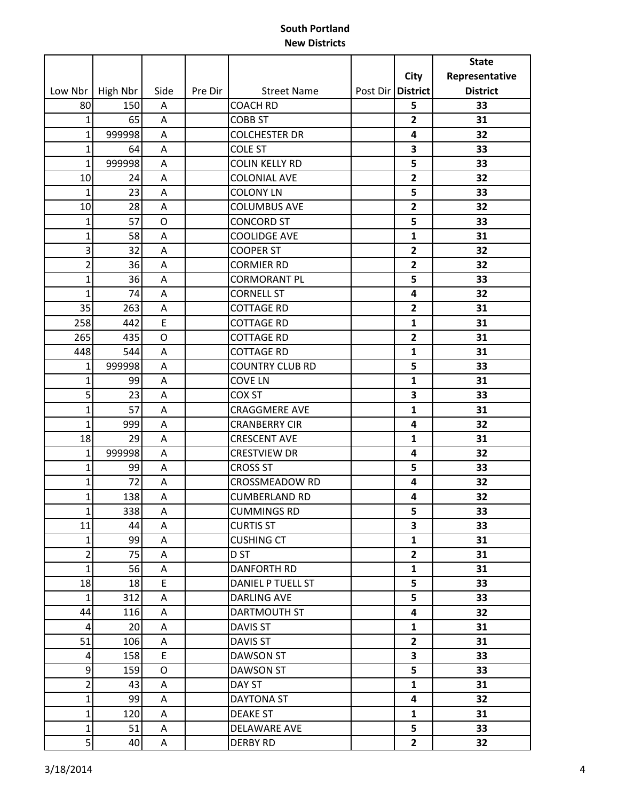|                |          |         |         |                        |                   |                         | <b>State</b>    |
|----------------|----------|---------|---------|------------------------|-------------------|-------------------------|-----------------|
|                |          |         |         |                        |                   | City                    | Representative  |
| Low Nbr        | High Nbr | Side    | Pre Dir | <b>Street Name</b>     | Post Dir District |                         | <b>District</b> |
| 80             | 150      | Α       |         | <b>COACH RD</b>        |                   | 5                       | 33              |
| $\mathbf{1}$   | 65       | A       |         | <b>COBB ST</b>         |                   | $\overline{2}$          | 31              |
| $\mathbf{1}$   | 999998   | A       |         | <b>COLCHESTER DR</b>   |                   | 4                       | 32              |
| $\mathbf{1}$   | 64       | Α       |         | <b>COLE ST</b>         |                   | 3                       | 33              |
| $\mathbf{1}$   | 999998   | Α       |         | <b>COLIN KELLY RD</b>  |                   | 5                       | 33              |
| 10             | 24       | A       |         | <b>COLONIAL AVE</b>    |                   | $\overline{2}$          | 32              |
| $\mathbf{1}$   | 23       | A       |         | <b>COLONY LN</b>       |                   | 5                       | 33              |
| 10             | 28       | A       |         | <b>COLUMBUS AVE</b>    |                   | $\overline{2}$          | 32              |
| $\mathbf{1}$   | 57       | $\circ$ |         | <b>CONCORD ST</b>      |                   | 5                       | 33              |
| $\mathbf{1}$   | 58       | Α       |         | <b>COOLIDGE AVE</b>    |                   | $\mathbf{1}$            | 31              |
| 3              | 32       | A       |         | <b>COOPER ST</b>       |                   | $\mathbf{2}$            | 32              |
| $\overline{2}$ | 36       | Α       |         | <b>CORMIER RD</b>      |                   | $\overline{2}$          | 32              |
| $\mathbf{1}$   | 36       | Α       |         | <b>CORMORANT PL</b>    |                   | 5                       | 33              |
| $\mathbf{1}$   | 74       | A       |         | <b>CORNELL ST</b>      |                   | 4                       | 32              |
| 35             | 263      | Α       |         | <b>COTTAGE RD</b>      |                   | $\overline{2}$          | 31              |
| 258            | 442      | E       |         | <b>COTTAGE RD</b>      |                   | $\mathbf{1}$            | 31              |
| 265            | 435      | O       |         | <b>COTTAGE RD</b>      |                   | $\mathbf{2}$            | 31              |
| 448            | 544      | A       |         | <b>COTTAGE RD</b>      |                   | $\mathbf{1}$            | 31              |
| $\mathbf{1}$   | 999998   | Α       |         | <b>COUNTRY CLUB RD</b> |                   | 5                       | 33              |
| $\mathbf{1}$   | 99       | A       |         | <b>COVE LN</b>         |                   | $\mathbf{1}$            | 31              |
| 5              | 23       | A       |         | COX ST                 |                   | 3                       | 33              |
| $\mathbf{1}$   | 57       | Α       |         | <b>CRAGGMERE AVE</b>   |                   | $\mathbf{1}$            | 31              |
| $\mathbf{1}$   | 999      | Α       |         | <b>CRANBERRY CIR</b>   |                   | 4                       | 32              |
| 18             | 29       | A       |         | <b>CRESCENT AVE</b>    |                   | 1                       | 31              |
| $\mathbf{1}$   | 999998   | A       |         | <b>CRESTVIEW DR</b>    |                   | 4                       | 32              |
| $\mathbf{1}$   | 99       | Α       |         | <b>CROSS ST</b>        |                   | 5                       | 33              |
| $\mathbf{1}$   | 72       | A       |         | <b>CROSSMEADOW RD</b>  |                   | 4                       | 32              |
| $\mathbf{1}$   | 138      | A       |         | <b>CUMBERLAND RD</b>   |                   | 4                       | 32              |
| $\mathbf{1}$   | 338      | A       |         | <b>CUMMINGS RD</b>     |                   | 5                       | 33              |
| 11             | 44       | A       |         | <b>CURTIS ST</b>       |                   | $\overline{\mathbf{3}}$ | 33              |
| $\mathbf 1$    | 99       | A       |         | <b>CUSHING CT</b>      |                   | $\mathbf{1}$            | 31              |
| $\overline{2}$ | 75       | A       |         | D <sub>ST</sub>        |                   | $\mathbf{2}$            | 31              |
| $\mathbf{1}$   | 56       | A       |         | <b>DANFORTH RD</b>     |                   | $\mathbf{1}$            | 31              |
| 18             | 18       | E       |         | DANIEL P TUELL ST      |                   | 5                       | 33              |
| $\mathbf{1}$   | 312      | A       |         | <b>DARLING AVE</b>     |                   | 5                       | 33              |
| 44             | 116      | Α       |         | DARTMOUTH ST           |                   | 4                       | 32              |
| 4              | 20       | A       |         | <b>DAVIS ST</b>        |                   | $\mathbf{1}$            | 31              |
| 51             | 106      | Α       |         | <b>DAVIS ST</b>        |                   | $\overline{2}$          | 31              |
| $\overline{a}$ | 158      | E       |         | <b>DAWSON ST</b>       |                   | $\overline{\mathbf{3}}$ | 33              |
| 9              | 159      | O       |         | <b>DAWSON ST</b>       |                   | 5                       | 33              |
| $\overline{2}$ | 43       | Α       |         | DAY ST                 |                   | $\mathbf{1}$            | 31              |
| $\mathbf{1}$   | 99       | A       |         | DAYTONA ST             |                   | 4                       | 32              |
| $\mathbf{1}$   | 120      | A       |         | <b>DEAKE ST</b>        |                   | $\mathbf{1}$            | 31              |
| $\mathbf 1$    | 51       | A       |         | DELAWARE AVE           |                   | 5                       | 33              |
| 5 <sup>1</sup> | 40       | A       |         | <b>DERBY RD</b>        |                   | $\overline{2}$          | 32              |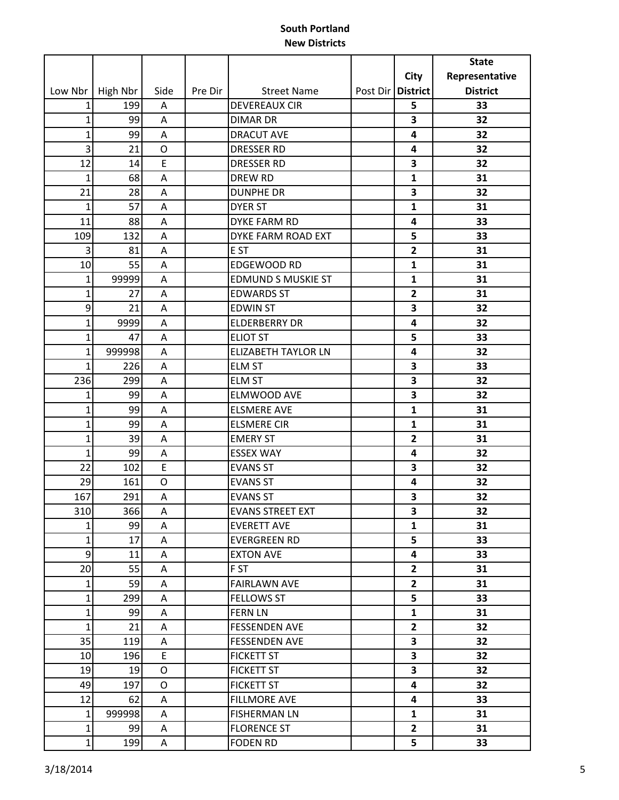|              |          |             |         |                            |                     |                         | <b>State</b>    |
|--------------|----------|-------------|---------|----------------------------|---------------------|-------------------------|-----------------|
|              |          |             |         |                            |                     | <b>City</b>             | Representative  |
| Low Nbr      | High Nbr | Side        | Pre Dir | <b>Street Name</b>         | Post Dir   District |                         | <b>District</b> |
| 1            | 199      | Α           |         | <b>DEVEREAUX CIR</b>       |                     | 5                       | 33              |
| $\mathbf{1}$ | 99       | A           |         | <b>DIMAR DR</b>            |                     | 3                       | 32              |
| $\mathbf{1}$ | 99       | A           |         | <b>DRACUT AVE</b>          |                     | 4                       | 32              |
| 3            | 21       | O           |         | <b>DRESSER RD</b>          |                     | 4                       | 32              |
| 12           | 14       | $\mathsf E$ |         | <b>DRESSER RD</b>          |                     | 3                       | 32              |
| $\mathbf{1}$ | 68       | A           |         | <b>DREW RD</b>             |                     | $\mathbf{1}$            | 31              |
| 21           | 28       | A           |         | <b>DUNPHE DR</b>           |                     | 3                       | 32              |
| $\mathbf{1}$ | 57       | A           |         | <b>DYER ST</b>             |                     | $\mathbf{1}$            | 31              |
| 11           | 88       | A           |         | <b>DYKE FARM RD</b>        |                     | 4                       | 33              |
| 109          | 132      | A           |         | DYKE FARM ROAD EXT         |                     | 5                       | 33              |
| 3            | 81       | A           |         | E ST                       |                     | $\mathbf{2}$            | 31              |
| 10           | 55       | Α           |         | <b>EDGEWOOD RD</b>         |                     | $\mathbf{1}$            | 31              |
| $\mathbf 1$  | 99999    | Α           |         | <b>EDMUND S MUSKIE ST</b>  |                     | $\mathbf{1}$            | 31              |
| $\mathbf{1}$ | 27       | A           |         | <b>EDWARDS ST</b>          |                     | $\overline{2}$          | 31              |
| 9            | 21       | A           |         | <b>EDWIN ST</b>            |                     | 3                       | 32              |
| $\mathbf{1}$ | 9999     | A           |         | <b>ELDERBERRY DR</b>       |                     | 4                       | 32              |
| $\mathbf{1}$ | 47       | Α           |         | <b>ELIOT ST</b>            |                     | 5                       | 33              |
| $\mathbf 1$  | 999998   | A           |         | <b>ELIZABETH TAYLOR LN</b> |                     | 4                       | 32              |
| $\mathbf{1}$ | 226      | A           |         | <b>ELM ST</b>              |                     | 3                       | 33              |
| 236          | 299      | A           |         | <b>ELM ST</b>              |                     | 3                       | 32              |
| $\mathbf{1}$ | 99       | A           |         | ELMWOOD AVE                |                     | 3                       | 32              |
| $\mathbf{1}$ | 99       | A           |         | <b>ELSMERE AVE</b>         |                     | $\mathbf{1}$            | 31              |
| $\mathbf 1$  | 99       | Α           |         | <b>ELSMERE CIR</b>         |                     | $\mathbf{1}$            | 31              |
| $\mathbf{1}$ | 39       | A           |         | <b>EMERY ST</b>            |                     | $\mathbf{2}$            | 31              |
| 1            | 99       | A           |         | <b>ESSEX WAY</b>           |                     | 4                       | 32              |
| 22           | 102      | E           |         | <b>EVANS ST</b>            |                     | 3                       | 32              |
| 29           | 161      | O           |         | <b>EVANS ST</b>            |                     | 4                       | 32              |
| 167          | 291      | A           |         | <b>EVANS ST</b>            |                     | 3                       | 32              |
| 310          | 366      | $\mathsf A$ |         | EVANS STREET EXT           |                     | $\overline{\mathbf{3}}$ | 32              |
| $\mathbf{1}$ | 99       | A           |         | <b>EVERETT AVE</b>         |                     | $\mathbf{1}$            | 31              |
| $\mathbf 1$  | 17       | A           |         | <b>EVERGREEN RD</b>        |                     | 5                       | 33              |
| 9            | 11       | A           |         | <b>EXTON AVE</b>           |                     | 4                       | 33              |
| 20           | 55       | A           |         | F ST                       |                     | $\overline{2}$          | 31              |
| $\mathbf{1}$ | 59       | A           |         | <b>FAIRLAWN AVE</b>        |                     | $\overline{2}$          | 31              |
| $\mathbf{1}$ | 299      | A           |         | <b>FELLOWS ST</b>          |                     | 5                       | 33              |
| $\mathbf 1$  | 99       | A           |         | <b>FERN LN</b>             |                     | $\mathbf{1}$            | 31              |
| $\mathbf{1}$ | 21       | Α           |         | <b>FESSENDEN AVE</b>       |                     | $\mathbf{2}$            | 32              |
| 35           | 119      | A           |         | <b>FESSENDEN AVE</b>       |                     | 3                       | 32              |
| 10           | 196      | E.          |         | <b>FICKETT ST</b>          |                     | 3                       | 32              |
| 19           | 19       | O           |         | <b>FICKETT ST</b>          |                     | 3                       | 32              |
| 49           | 197      | O           |         | <b>FICKETT ST</b>          |                     | 4                       | 32              |
| 12           | 62       | Α           |         | <b>FILLMORE AVE</b>        |                     | 4                       | 33              |
| $\mathbf{1}$ | 999998   | A           |         | <b>FISHERMAN LN</b>        |                     | $\mathbf{1}$            | 31              |
| $\mathbf 1$  | 99       | A           |         | <b>FLORENCE ST</b>         |                     | $\overline{2}$          | 31              |
| $\mathbf{1}$ | 199      | Α           |         | <b>FODEN RD</b>            |                     | 5                       | 33              |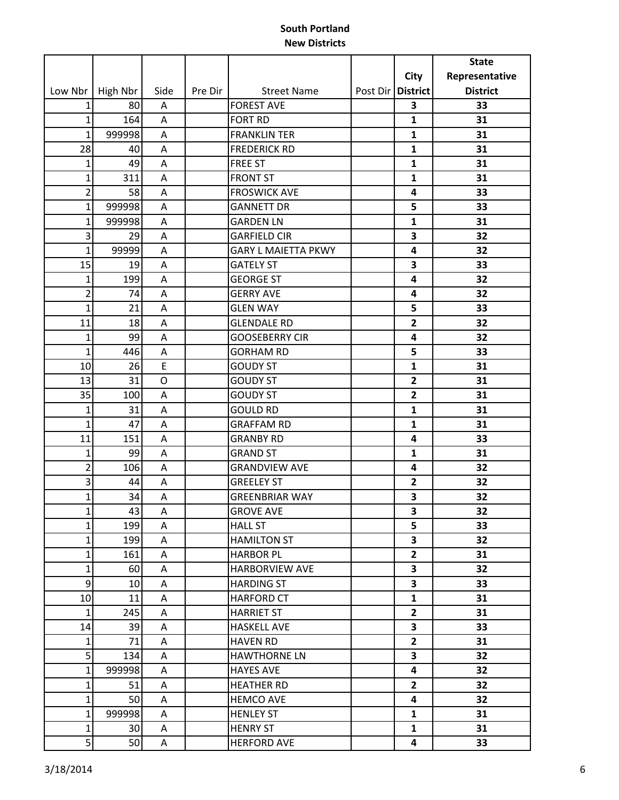|                |          |             |         |                            |                     |                         | <b>State</b>    |
|----------------|----------|-------------|---------|----------------------------|---------------------|-------------------------|-----------------|
|                |          |             |         |                            |                     | <b>City</b>             | Representative  |
| Low Nbr        | High Nbr | Side        | Pre Dir | <b>Street Name</b>         | Post Dir   District |                         | <b>District</b> |
| 1              | 80       | Α           |         | <b>FOREST AVE</b>          |                     | 3                       | 33              |
| $\mathbf{1}$   | 164      | Α           |         | <b>FORT RD</b>             |                     | $\mathbf{1}$            | 31              |
| $\mathbf{1}$   | 999998   | A           |         | <b>FRANKLIN TER</b>        |                     | $\mathbf{1}$            | 31              |
| 28             | 40       | Α           |         | <b>FREDERICK RD</b>        |                     | $\mathbf{1}$            | 31              |
| $\mathbf{1}$   | 49       | A           |         | <b>FREE ST</b>             |                     | $\mathbf{1}$            | 31              |
| $\mathbf{1}$   | 311      | Α           |         | <b>FRONT ST</b>            |                     | $\mathbf{1}$            | 31              |
| $\overline{2}$ | 58       | Α           |         | <b>FROSWICK AVE</b>        |                     | 4                       | 33              |
| $\mathbf{1}$   | 999998   | A           |         | <b>GANNETT DR</b>          |                     | 5                       | 33              |
| $\mathbf{1}$   | 999998   | Α           |         | <b>GARDEN LN</b>           |                     | 1                       | 31              |
| 3              | 29       | Α           |         | <b>GARFIELD CIR</b>        |                     | 3                       | 32              |
| $\mathbf{1}$   | 99999    | Α           |         | <b>GARY L MAIETTA PKWY</b> |                     | 4                       | 32              |
| 15             | 19       | Α           |         | <b>GATELY ST</b>           |                     | 3                       | 33              |
| $\mathbf{1}$   | 199      | A           |         | <b>GEORGE ST</b>           |                     | 4                       | 32              |
| $\overline{2}$ | 74       | Α           |         | <b>GERRY AVE</b>           |                     | 4                       | 32              |
| $\mathbf{1}$   | 21       | Α           |         | <b>GLEN WAY</b>            |                     | 5                       | 33              |
| 11             | 18       | A           |         | <b>GLENDALE RD</b>         |                     | $\overline{2}$          | 32              |
| $\mathbf{1}$   | 99       | Α           |         | <b>GOOSEBERRY CIR</b>      |                     | 4                       | 32              |
| $\mathbf{1}$   | 446      | A           |         | <b>GORHAM RD</b>           |                     | 5                       | 33              |
| 10             | 26       | E           |         | <b>GOUDY ST</b>            |                     | $\mathbf{1}$            | 31              |
| 13             | 31       | O           |         | <b>GOUDY ST</b>            |                     | $\mathbf{2}$            | 31              |
| 35             | 100      | Α           |         | <b>GOUDY ST</b>            |                     | $\overline{\mathbf{2}}$ | 31              |
| $\mathbf{1}$   | 31       | Α           |         | <b>GOULD RD</b>            |                     | $\mathbf{1}$            | 31              |
| $\mathbf{1}$   | 47       | Α           |         | <b>GRAFFAM RD</b>          |                     | $\mathbf{1}$            | 31              |
| 11             | 151      | Α           |         | <b>GRANBY RD</b>           |                     | 4                       | 33              |
| $\mathbf{1}$   | 99       | A           |         | <b>GRAND ST</b>            |                     | $\mathbf{1}$            | 31              |
| $\overline{2}$ | 106      | Α           |         | <b>GRANDVIEW AVE</b>       |                     | 4                       | 32              |
| 3              | 44       | Α           |         | <b>GREELEY ST</b>          |                     | $\mathbf{2}$            | 32              |
| $\mathbf{1}$   | 34       | A           |         | <b>GREENBRIAR WAY</b>      |                     | 3                       | 32              |
| $\mathbf{1}$   | 43       | $\mathsf A$ |         | <b>GROVE AVE</b>           |                     | 3                       | 32              |
| $\mathbf{1}$   | 199      | A           |         | <b>HALL ST</b>             |                     | 5                       | 33              |
| $\mathbf{1}$   | 199      | A           |         | <b>HAMILTON ST</b>         |                     | 3                       | 32              |
| $\mathbf{1}$   | 161      | A           |         | <b>HARBOR PL</b>           |                     | $\mathbf{2}$            | 31              |
| $\mathbf{1}$   | 60       | A           |         | <b>HARBORVIEW AVE</b>      |                     | $\mathbf{3}$            | 32              |
| 9              | 10       | A           |         | <b>HARDING ST</b>          |                     | 3                       | 33              |
| 10             | 11       | A           |         | <b>HARFORD CT</b>          |                     | $\mathbf{1}$            | 31              |
| $\mathbf{1}$   | 245      | A           |         | <b>HARRIET ST</b>          |                     | $\overline{2}$          | 31              |
| 14             | 39       | Α           |         | <b>HASKELL AVE</b>         |                     | 3                       | 33              |
| $\mathbf{1}$   | 71       | A           |         | <b>HAVEN RD</b>            |                     | $\mathbf{2}$            | 31              |
| 5              | 134      | A           |         | <b>HAWTHORNE LN</b>        |                     | 3                       | 32              |
| $\mathbf{1}$   | 999998   | A           |         | <b>HAYES AVE</b>           |                     | 4                       | 32              |
| $\mathbf{1}$   | 51       | A           |         | <b>HEATHER RD</b>          |                     | $\overline{2}$          | 32              |
| $\mathbf{1}$   | 50       | A           |         | <b>HEMCO AVE</b>           |                     | 4                       | 32              |
| $\mathbf{1}$   | 999998   | A           |         | <b>HENLEY ST</b>           |                     | $\mathbf{1}$            | 31              |
| $\mathbf{1}$   | 30       | A           |         | <b>HENRY ST</b>            |                     | $\mathbf{1}$            | 31              |
| 5              | 50       | A           |         | <b>HERFORD AVE</b>         |                     | 4                       | 33              |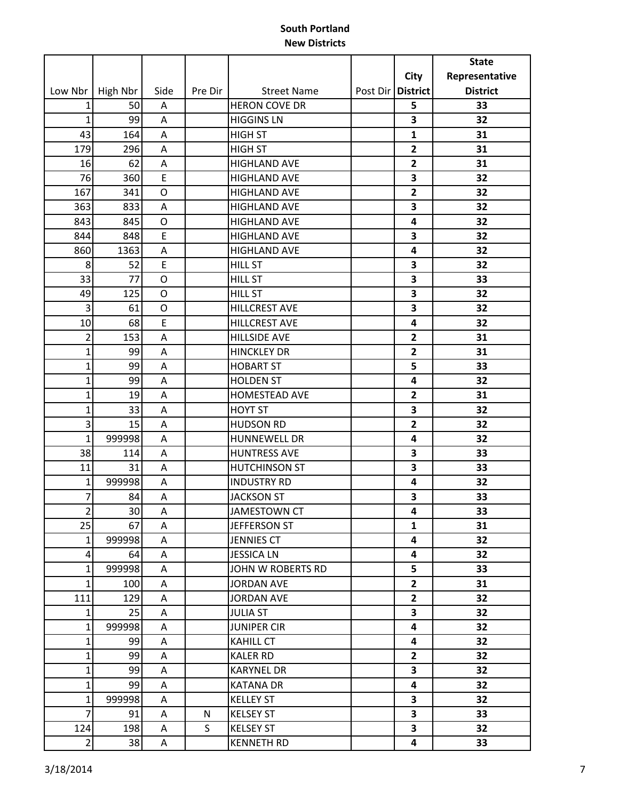|                |          |             |         |                      |                     | <b>State</b>    |
|----------------|----------|-------------|---------|----------------------|---------------------|-----------------|
|                |          |             |         |                      | <b>City</b>         | Representative  |
| Low Nbr        | High Nbr | Side        | Pre Dir | <b>Street Name</b>   | Post Dir   District | <b>District</b> |
| 1              | 50       | Α           |         | <b>HERON COVE DR</b> | 5                   | 33              |
| $\mathbf{1}$   | 99       | Α           |         | <b>HIGGINS LN</b>    | 3                   | 32              |
| 43             | 164      | A           |         | <b>HIGH ST</b>       | 1                   | 31              |
| 179            | 296      | Α           |         | <b>HIGH ST</b>       | $\overline{2}$      | 31              |
| 16             | 62       | Α           |         | <b>HIGHLAND AVE</b>  | $\overline{2}$      | 31              |
| 76             | 360      | E           |         | <b>HIGHLAND AVE</b>  | 3                   | 32              |
| 167            | 341      | O           |         | <b>HIGHLAND AVE</b>  | $\overline{2}$      | 32              |
| 363            | 833      | Α           |         | <b>HIGHLAND AVE</b>  | 3                   | 32              |
| 843            | 845      | O           |         | <b>HIGHLAND AVE</b>  | 4                   | 32              |
| 844            | 848      | E           |         | <b>HIGHLAND AVE</b>  | 3                   | 32              |
| 860            | 1363     | А           |         | <b>HIGHLAND AVE</b>  | 4                   | 32              |
| 8              | 52       | E           |         | <b>HILL ST</b>       | 3                   | 32              |
| 33             | 77       | $\circ$     |         | <b>HILL ST</b>       | 3                   | 33              |
| 49             | 125      | O           |         | <b>HILL ST</b>       | 3                   | 32              |
| 3              | 61       | $\circ$     |         | <b>HILLCREST AVE</b> | 3                   | 32              |
| 10             | 68       | E           |         | <b>HILLCREST AVE</b> | 4                   | 32              |
| $\overline{2}$ | 153      | Α           |         | <b>HILLSIDE AVE</b>  | $\overline{2}$      | 31              |
| $\mathbf{1}$   | 99       | A           |         | <b>HINCKLEY DR</b>   | $\overline{2}$      | 31              |
| $\mathbf{1}$   | 99       | Α           |         | <b>HOBART ST</b>     | 5                   | 33              |
| $\mathbf{1}$   | 99       | Α           |         | <b>HOLDEN ST</b>     | 4                   | 32              |
| $\mathbf{1}$   | 19       | Α           |         | HOMESTEAD AVE        | $\overline{2}$      | 31              |
| $\mathbf{1}$   | 33       | Α           |         | <b>HOYT ST</b>       | 3                   | 32              |
| 3              | 15       | Α           |         | <b>HUDSON RD</b>     | $\overline{2}$      | 32              |
| $\mathbf{1}$   | 999998   | А           |         | <b>HUNNEWELL DR</b>  | 4                   | 32              |
| 38             | 114      | Α           |         | <b>HUNTRESS AVE</b>  | 3                   | 33              |
| 11             | 31       | Α           |         | <b>HUTCHINSON ST</b> | 3                   | 33              |
| $\mathbf{1}$   | 999998   | Α           |         | <b>INDUSTRY RD</b>   | 4                   | 32              |
| 7              | 84       | Α           |         | <b>JACKSON ST</b>    | 3                   | 33              |
| $\overline{2}$ | 30       | $\mathsf A$ |         | JAMESTOWN CT         | 4                   | 33              |
| 25             | 67       | A           |         | JEFFERSON ST         | $\mathbf{1}$        | 31              |
| $\mathbf{1}$   | 999998   | A           |         | <b>JENNIES CT</b>    | 4                   | 32              |
| 4              | 64       | A           |         | <b>JESSICA LN</b>    | 4                   | 32              |
| $\mathbf{1}$   | 999998   | A           |         | JOHN W ROBERTS RD    | 5                   | 33              |
| $\mathbf{1}$   | 100      | Α           |         | <b>JORDAN AVE</b>    | $\overline{2}$      | 31              |
| 111            | 129      | A           |         | <b>JORDAN AVE</b>    | $\mathbf{2}$        | 32              |
| $\mathbf{1}$   | 25       | A           |         | <b>JULIA ST</b>      | 3                   | 32              |
| $\mathbf{1}$   | 999998   | A           |         | <b>JUNIPER CIR</b>   | 4                   | 32              |
| 1              | 99       | A           |         | <b>KAHILL CT</b>     | 4                   | 32              |
| $\mathbf{1}$   | 99       | A           |         | <b>KALER RD</b>      | $\overline{2}$      | 32              |
| $\mathbf 1$    | 99       | A           |         | <b>KARYNEL DR</b>    | 3                   | 32              |
| $\mathbf{1}$   | 99       | A           |         | <b>KATANA DR</b>     | 4                   | 32              |
| $\mathbf{1}$   | 999998   | A           |         | <b>KELLEY ST</b>     | 3                   | 32              |
| $\overline{7}$ | 91       | A           | N       | <b>KELSEY ST</b>     | 3                   | 33              |
| 124            | 198      | A           | S       | <b>KELSEY ST</b>     | 3                   | 32              |
| $\overline{2}$ | 38       | A           |         | <b>KENNETH RD</b>    | 4                   | 33              |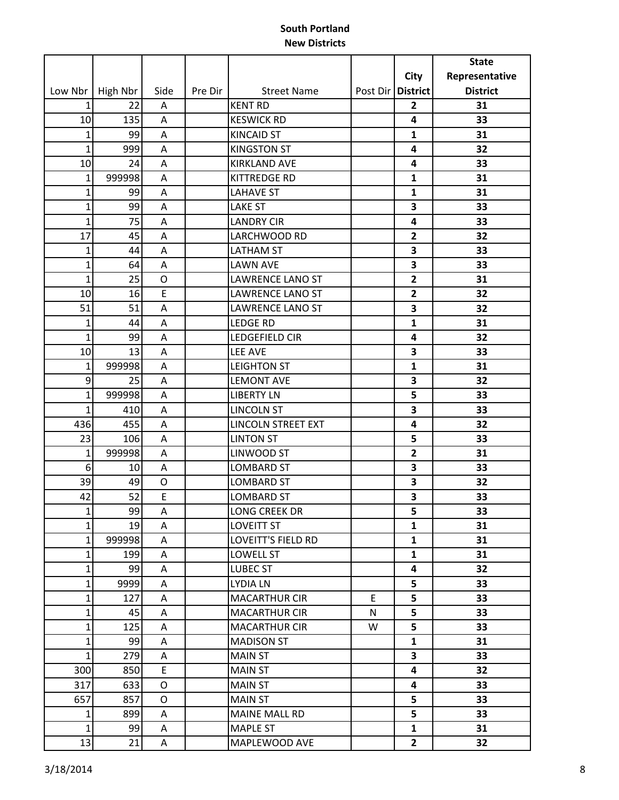| City<br>Representative<br><b>District</b><br><b>District</b><br>Low Nbr<br>High Nbr<br>Side<br>Pre Dir<br><b>Street Name</b><br>Post Dir<br>22<br><b>KENT RD</b><br>$\mathbf{1}$<br>$\mathbf{2}$<br>31<br>A<br>135<br><b>KESWICK RD</b><br>4<br>33<br>10<br>A<br>$\mathbf{1}$<br>99<br>A<br><b>KINCAID ST</b><br>$\mathbf{1}$<br>31<br>$\mathbf{1}$<br>999<br><b>KINGSTON ST</b><br>32<br>A<br>4<br>33<br>24<br><b>KIRKLAND AVE</b><br>10<br>A<br>4<br>999998<br>$\mathbf{1}$<br>KITTREDGE RD<br>$\mathbf{1}$<br>31<br>Α<br>$\mathbf{1}$<br>99<br><b>LAHAVE ST</b><br>$\mathbf{1}$<br>31<br>A<br>$\mathbf{1}$<br>99<br>A<br><b>LAKE ST</b><br>3<br>33<br>$\overline{1}$<br>75<br><b>LANDRY CIR</b><br>33<br>A<br>4<br>17<br>45<br>LARCHWOOD RD<br>32<br>$\overline{2}$<br>Α<br>3<br>$\mathbf{1}$<br>44<br><b>LATHAM ST</b><br>33<br>A<br>$\mathbf{1}$<br><b>LAWN AVE</b><br>3<br>64<br>33<br>Α<br>$\mathbf{1}$<br>25<br>$\overline{2}$<br>O<br>LAWRENCE LANO ST<br>31<br>E<br>10<br>16<br>LAWRENCE LANO ST<br>$\overline{2}$<br>32<br>51<br>51<br>3<br>32<br><b>LAWRENCE LANO ST</b><br>Α<br>44<br><b>LEDGE RD</b><br>$\mathbf{1}$<br>31<br>1<br>A<br>$\mathbf{1}$<br>99<br>LEDGEFIELD CIR<br>4<br>32<br>Α<br>LEE AVE<br>3<br>33<br>10<br>13<br>Α<br>$\mathbf{1}$<br>999998<br><b>LEIGHTON ST</b><br>$\mathbf{1}$<br>31<br>Α<br>9<br>25<br><b>LEMONT AVE</b><br>3<br>32<br>A<br>$\mathbf{1}$<br>5<br>999998<br><b>LIBERTY LN</b><br>33<br>A<br>$\mathbf{1}$<br>410<br><b>LINCOLN ST</b><br>3<br>33<br>Α<br>32<br>436<br>455<br><b>LINCOLN STREET EXT</b><br>4<br>Α<br>23<br>106<br><b>LINTON ST</b><br>5<br>33<br>A<br>999998<br>LINWOOD ST<br>$\mathbf{1}$<br>$\overline{2}$<br>31<br>A<br>3<br>6<br><b>LOMBARD ST</b><br>33<br>10<br>Α<br>3<br>39<br>49<br>O<br><b>LOMBARD ST</b><br>32<br>52<br>E<br>3<br>42<br>LOMBARD ST<br>33<br>99<br><b>LONG CREEK DR</b><br>$\mathbf 1$<br>A<br>5<br>33<br>$\mathbf{1}$<br>19<br><b>LOVEITT ST</b><br>Α<br>$\mathbf{1}$<br>31<br>$\mathbf 1$<br>999998<br><b>LOVEITT'S FIELD RD</b><br>$\mathbf{1}$<br>31<br>A<br>$\mathbf{1}$<br>199<br>LOWELL ST<br>31<br>$\mathbf{1}$<br>A<br>99<br>32<br>$\mathbf{1}$<br>LUBEC ST<br>4<br>A<br>$\mathbf 1$<br>9999<br>5<br>33<br>LYDIA LN<br>A<br>$\mathbf{1}$<br>E<br>5<br>127<br><b>MACARTHUR CIR</b><br>33<br>A<br>$\mathbf{1}$<br>45<br><b>MACARTHUR CIR</b><br>N<br>5<br>33<br>A<br>$\mathbf{1}$<br>5<br>125<br><b>MACARTHUR CIR</b><br>W<br>33<br>Α<br>99<br>$\mathbf{1}$<br><b>MADISON ST</b><br>$\mathbf{1}$<br>31<br>A<br>$\mathbf 1$<br>279<br><b>MAIN ST</b><br>3<br>33<br>Α<br>850<br>E<br>32<br>300<br><b>MAIN ST</b><br>4<br>633<br>33<br>317<br>O<br><b>MAIN ST</b><br>4<br>857<br>657<br><b>MAIN ST</b><br>5<br>33<br>0<br>5<br>899<br>MAINE MALL RD<br>33<br>$\mathbf{1}$<br>A<br>$\mathbf 1$<br>99<br><b>MAPLE ST</b><br>$\mathbf{1}$<br>31<br>A<br>13<br>21<br>32<br>MAPLEWOOD AVE<br>$\mathbf{2}$<br>Α |  |  |  | <b>State</b> |
|---------------------------------------------------------------------------------------------------------------------------------------------------------------------------------------------------------------------------------------------------------------------------------------------------------------------------------------------------------------------------------------------------------------------------------------------------------------------------------------------------------------------------------------------------------------------------------------------------------------------------------------------------------------------------------------------------------------------------------------------------------------------------------------------------------------------------------------------------------------------------------------------------------------------------------------------------------------------------------------------------------------------------------------------------------------------------------------------------------------------------------------------------------------------------------------------------------------------------------------------------------------------------------------------------------------------------------------------------------------------------------------------------------------------------------------------------------------------------------------------------------------------------------------------------------------------------------------------------------------------------------------------------------------------------------------------------------------------------------------------------------------------------------------------------------------------------------------------------------------------------------------------------------------------------------------------------------------------------------------------------------------------------------------------------------------------------------------------------------------------------------------------------------------------------------------------------------------------------------------------------------------------------------------------------------------------------------------------------------------------------------------------------------------------------------------------------------------------------------------------------------------------------------------------------------------------------------------------------------------------------------------------------------------------------------------------------------------------------------------------------------------------------------------------------------------------------------------------------------------------------------------------------------|--|--|--|--------------|
|                                                                                                                                                                                                                                                                                                                                                                                                                                                                                                                                                                                                                                                                                                                                                                                                                                                                                                                                                                                                                                                                                                                                                                                                                                                                                                                                                                                                                                                                                                                                                                                                                                                                                                                                                                                                                                                                                                                                                                                                                                                                                                                                                                                                                                                                                                                                                                                                                                                                                                                                                                                                                                                                                                                                                                                                                                                                                                         |  |  |  |              |
|                                                                                                                                                                                                                                                                                                                                                                                                                                                                                                                                                                                                                                                                                                                                                                                                                                                                                                                                                                                                                                                                                                                                                                                                                                                                                                                                                                                                                                                                                                                                                                                                                                                                                                                                                                                                                                                                                                                                                                                                                                                                                                                                                                                                                                                                                                                                                                                                                                                                                                                                                                                                                                                                                                                                                                                                                                                                                                         |  |  |  |              |
|                                                                                                                                                                                                                                                                                                                                                                                                                                                                                                                                                                                                                                                                                                                                                                                                                                                                                                                                                                                                                                                                                                                                                                                                                                                                                                                                                                                                                                                                                                                                                                                                                                                                                                                                                                                                                                                                                                                                                                                                                                                                                                                                                                                                                                                                                                                                                                                                                                                                                                                                                                                                                                                                                                                                                                                                                                                                                                         |  |  |  |              |
|                                                                                                                                                                                                                                                                                                                                                                                                                                                                                                                                                                                                                                                                                                                                                                                                                                                                                                                                                                                                                                                                                                                                                                                                                                                                                                                                                                                                                                                                                                                                                                                                                                                                                                                                                                                                                                                                                                                                                                                                                                                                                                                                                                                                                                                                                                                                                                                                                                                                                                                                                                                                                                                                                                                                                                                                                                                                                                         |  |  |  |              |
|                                                                                                                                                                                                                                                                                                                                                                                                                                                                                                                                                                                                                                                                                                                                                                                                                                                                                                                                                                                                                                                                                                                                                                                                                                                                                                                                                                                                                                                                                                                                                                                                                                                                                                                                                                                                                                                                                                                                                                                                                                                                                                                                                                                                                                                                                                                                                                                                                                                                                                                                                                                                                                                                                                                                                                                                                                                                                                         |  |  |  |              |
|                                                                                                                                                                                                                                                                                                                                                                                                                                                                                                                                                                                                                                                                                                                                                                                                                                                                                                                                                                                                                                                                                                                                                                                                                                                                                                                                                                                                                                                                                                                                                                                                                                                                                                                                                                                                                                                                                                                                                                                                                                                                                                                                                                                                                                                                                                                                                                                                                                                                                                                                                                                                                                                                                                                                                                                                                                                                                                         |  |  |  |              |
|                                                                                                                                                                                                                                                                                                                                                                                                                                                                                                                                                                                                                                                                                                                                                                                                                                                                                                                                                                                                                                                                                                                                                                                                                                                                                                                                                                                                                                                                                                                                                                                                                                                                                                                                                                                                                                                                                                                                                                                                                                                                                                                                                                                                                                                                                                                                                                                                                                                                                                                                                                                                                                                                                                                                                                                                                                                                                                         |  |  |  |              |
|                                                                                                                                                                                                                                                                                                                                                                                                                                                                                                                                                                                                                                                                                                                                                                                                                                                                                                                                                                                                                                                                                                                                                                                                                                                                                                                                                                                                                                                                                                                                                                                                                                                                                                                                                                                                                                                                                                                                                                                                                                                                                                                                                                                                                                                                                                                                                                                                                                                                                                                                                                                                                                                                                                                                                                                                                                                                                                         |  |  |  |              |
|                                                                                                                                                                                                                                                                                                                                                                                                                                                                                                                                                                                                                                                                                                                                                                                                                                                                                                                                                                                                                                                                                                                                                                                                                                                                                                                                                                                                                                                                                                                                                                                                                                                                                                                                                                                                                                                                                                                                                                                                                                                                                                                                                                                                                                                                                                                                                                                                                                                                                                                                                                                                                                                                                                                                                                                                                                                                                                         |  |  |  |              |
|                                                                                                                                                                                                                                                                                                                                                                                                                                                                                                                                                                                                                                                                                                                                                                                                                                                                                                                                                                                                                                                                                                                                                                                                                                                                                                                                                                                                                                                                                                                                                                                                                                                                                                                                                                                                                                                                                                                                                                                                                                                                                                                                                                                                                                                                                                                                                                                                                                                                                                                                                                                                                                                                                                                                                                                                                                                                                                         |  |  |  |              |
|                                                                                                                                                                                                                                                                                                                                                                                                                                                                                                                                                                                                                                                                                                                                                                                                                                                                                                                                                                                                                                                                                                                                                                                                                                                                                                                                                                                                                                                                                                                                                                                                                                                                                                                                                                                                                                                                                                                                                                                                                                                                                                                                                                                                                                                                                                                                                                                                                                                                                                                                                                                                                                                                                                                                                                                                                                                                                                         |  |  |  |              |
|                                                                                                                                                                                                                                                                                                                                                                                                                                                                                                                                                                                                                                                                                                                                                                                                                                                                                                                                                                                                                                                                                                                                                                                                                                                                                                                                                                                                                                                                                                                                                                                                                                                                                                                                                                                                                                                                                                                                                                                                                                                                                                                                                                                                                                                                                                                                                                                                                                                                                                                                                                                                                                                                                                                                                                                                                                                                                                         |  |  |  |              |
|                                                                                                                                                                                                                                                                                                                                                                                                                                                                                                                                                                                                                                                                                                                                                                                                                                                                                                                                                                                                                                                                                                                                                                                                                                                                                                                                                                                                                                                                                                                                                                                                                                                                                                                                                                                                                                                                                                                                                                                                                                                                                                                                                                                                                                                                                                                                                                                                                                                                                                                                                                                                                                                                                                                                                                                                                                                                                                         |  |  |  |              |
|                                                                                                                                                                                                                                                                                                                                                                                                                                                                                                                                                                                                                                                                                                                                                                                                                                                                                                                                                                                                                                                                                                                                                                                                                                                                                                                                                                                                                                                                                                                                                                                                                                                                                                                                                                                                                                                                                                                                                                                                                                                                                                                                                                                                                                                                                                                                                                                                                                                                                                                                                                                                                                                                                                                                                                                                                                                                                                         |  |  |  |              |
|                                                                                                                                                                                                                                                                                                                                                                                                                                                                                                                                                                                                                                                                                                                                                                                                                                                                                                                                                                                                                                                                                                                                                                                                                                                                                                                                                                                                                                                                                                                                                                                                                                                                                                                                                                                                                                                                                                                                                                                                                                                                                                                                                                                                                                                                                                                                                                                                                                                                                                                                                                                                                                                                                                                                                                                                                                                                                                         |  |  |  |              |
|                                                                                                                                                                                                                                                                                                                                                                                                                                                                                                                                                                                                                                                                                                                                                                                                                                                                                                                                                                                                                                                                                                                                                                                                                                                                                                                                                                                                                                                                                                                                                                                                                                                                                                                                                                                                                                                                                                                                                                                                                                                                                                                                                                                                                                                                                                                                                                                                                                                                                                                                                                                                                                                                                                                                                                                                                                                                                                         |  |  |  |              |
|                                                                                                                                                                                                                                                                                                                                                                                                                                                                                                                                                                                                                                                                                                                                                                                                                                                                                                                                                                                                                                                                                                                                                                                                                                                                                                                                                                                                                                                                                                                                                                                                                                                                                                                                                                                                                                                                                                                                                                                                                                                                                                                                                                                                                                                                                                                                                                                                                                                                                                                                                                                                                                                                                                                                                                                                                                                                                                         |  |  |  |              |
|                                                                                                                                                                                                                                                                                                                                                                                                                                                                                                                                                                                                                                                                                                                                                                                                                                                                                                                                                                                                                                                                                                                                                                                                                                                                                                                                                                                                                                                                                                                                                                                                                                                                                                                                                                                                                                                                                                                                                                                                                                                                                                                                                                                                                                                                                                                                                                                                                                                                                                                                                                                                                                                                                                                                                                                                                                                                                                         |  |  |  |              |
|                                                                                                                                                                                                                                                                                                                                                                                                                                                                                                                                                                                                                                                                                                                                                                                                                                                                                                                                                                                                                                                                                                                                                                                                                                                                                                                                                                                                                                                                                                                                                                                                                                                                                                                                                                                                                                                                                                                                                                                                                                                                                                                                                                                                                                                                                                                                                                                                                                                                                                                                                                                                                                                                                                                                                                                                                                                                                                         |  |  |  |              |
|                                                                                                                                                                                                                                                                                                                                                                                                                                                                                                                                                                                                                                                                                                                                                                                                                                                                                                                                                                                                                                                                                                                                                                                                                                                                                                                                                                                                                                                                                                                                                                                                                                                                                                                                                                                                                                                                                                                                                                                                                                                                                                                                                                                                                                                                                                                                                                                                                                                                                                                                                                                                                                                                                                                                                                                                                                                                                                         |  |  |  |              |
|                                                                                                                                                                                                                                                                                                                                                                                                                                                                                                                                                                                                                                                                                                                                                                                                                                                                                                                                                                                                                                                                                                                                                                                                                                                                                                                                                                                                                                                                                                                                                                                                                                                                                                                                                                                                                                                                                                                                                                                                                                                                                                                                                                                                                                                                                                                                                                                                                                                                                                                                                                                                                                                                                                                                                                                                                                                                                                         |  |  |  |              |
|                                                                                                                                                                                                                                                                                                                                                                                                                                                                                                                                                                                                                                                                                                                                                                                                                                                                                                                                                                                                                                                                                                                                                                                                                                                                                                                                                                                                                                                                                                                                                                                                                                                                                                                                                                                                                                                                                                                                                                                                                                                                                                                                                                                                                                                                                                                                                                                                                                                                                                                                                                                                                                                                                                                                                                                                                                                                                                         |  |  |  |              |
|                                                                                                                                                                                                                                                                                                                                                                                                                                                                                                                                                                                                                                                                                                                                                                                                                                                                                                                                                                                                                                                                                                                                                                                                                                                                                                                                                                                                                                                                                                                                                                                                                                                                                                                                                                                                                                                                                                                                                                                                                                                                                                                                                                                                                                                                                                                                                                                                                                                                                                                                                                                                                                                                                                                                                                                                                                                                                                         |  |  |  |              |
|                                                                                                                                                                                                                                                                                                                                                                                                                                                                                                                                                                                                                                                                                                                                                                                                                                                                                                                                                                                                                                                                                                                                                                                                                                                                                                                                                                                                                                                                                                                                                                                                                                                                                                                                                                                                                                                                                                                                                                                                                                                                                                                                                                                                                                                                                                                                                                                                                                                                                                                                                                                                                                                                                                                                                                                                                                                                                                         |  |  |  |              |
|                                                                                                                                                                                                                                                                                                                                                                                                                                                                                                                                                                                                                                                                                                                                                                                                                                                                                                                                                                                                                                                                                                                                                                                                                                                                                                                                                                                                                                                                                                                                                                                                                                                                                                                                                                                                                                                                                                                                                                                                                                                                                                                                                                                                                                                                                                                                                                                                                                                                                                                                                                                                                                                                                                                                                                                                                                                                                                         |  |  |  |              |
|                                                                                                                                                                                                                                                                                                                                                                                                                                                                                                                                                                                                                                                                                                                                                                                                                                                                                                                                                                                                                                                                                                                                                                                                                                                                                                                                                                                                                                                                                                                                                                                                                                                                                                                                                                                                                                                                                                                                                                                                                                                                                                                                                                                                                                                                                                                                                                                                                                                                                                                                                                                                                                                                                                                                                                                                                                                                                                         |  |  |  |              |
|                                                                                                                                                                                                                                                                                                                                                                                                                                                                                                                                                                                                                                                                                                                                                                                                                                                                                                                                                                                                                                                                                                                                                                                                                                                                                                                                                                                                                                                                                                                                                                                                                                                                                                                                                                                                                                                                                                                                                                                                                                                                                                                                                                                                                                                                                                                                                                                                                                                                                                                                                                                                                                                                                                                                                                                                                                                                                                         |  |  |  |              |
|                                                                                                                                                                                                                                                                                                                                                                                                                                                                                                                                                                                                                                                                                                                                                                                                                                                                                                                                                                                                                                                                                                                                                                                                                                                                                                                                                                                                                                                                                                                                                                                                                                                                                                                                                                                                                                                                                                                                                                                                                                                                                                                                                                                                                                                                                                                                                                                                                                                                                                                                                                                                                                                                                                                                                                                                                                                                                                         |  |  |  |              |
|                                                                                                                                                                                                                                                                                                                                                                                                                                                                                                                                                                                                                                                                                                                                                                                                                                                                                                                                                                                                                                                                                                                                                                                                                                                                                                                                                                                                                                                                                                                                                                                                                                                                                                                                                                                                                                                                                                                                                                                                                                                                                                                                                                                                                                                                                                                                                                                                                                                                                                                                                                                                                                                                                                                                                                                                                                                                                                         |  |  |  |              |
|                                                                                                                                                                                                                                                                                                                                                                                                                                                                                                                                                                                                                                                                                                                                                                                                                                                                                                                                                                                                                                                                                                                                                                                                                                                                                                                                                                                                                                                                                                                                                                                                                                                                                                                                                                                                                                                                                                                                                                                                                                                                                                                                                                                                                                                                                                                                                                                                                                                                                                                                                                                                                                                                                                                                                                                                                                                                                                         |  |  |  |              |
|                                                                                                                                                                                                                                                                                                                                                                                                                                                                                                                                                                                                                                                                                                                                                                                                                                                                                                                                                                                                                                                                                                                                                                                                                                                                                                                                                                                                                                                                                                                                                                                                                                                                                                                                                                                                                                                                                                                                                                                                                                                                                                                                                                                                                                                                                                                                                                                                                                                                                                                                                                                                                                                                                                                                                                                                                                                                                                         |  |  |  |              |
|                                                                                                                                                                                                                                                                                                                                                                                                                                                                                                                                                                                                                                                                                                                                                                                                                                                                                                                                                                                                                                                                                                                                                                                                                                                                                                                                                                                                                                                                                                                                                                                                                                                                                                                                                                                                                                                                                                                                                                                                                                                                                                                                                                                                                                                                                                                                                                                                                                                                                                                                                                                                                                                                                                                                                                                                                                                                                                         |  |  |  |              |
|                                                                                                                                                                                                                                                                                                                                                                                                                                                                                                                                                                                                                                                                                                                                                                                                                                                                                                                                                                                                                                                                                                                                                                                                                                                                                                                                                                                                                                                                                                                                                                                                                                                                                                                                                                                                                                                                                                                                                                                                                                                                                                                                                                                                                                                                                                                                                                                                                                                                                                                                                                                                                                                                                                                                                                                                                                                                                                         |  |  |  |              |
|                                                                                                                                                                                                                                                                                                                                                                                                                                                                                                                                                                                                                                                                                                                                                                                                                                                                                                                                                                                                                                                                                                                                                                                                                                                                                                                                                                                                                                                                                                                                                                                                                                                                                                                                                                                                                                                                                                                                                                                                                                                                                                                                                                                                                                                                                                                                                                                                                                                                                                                                                                                                                                                                                                                                                                                                                                                                                                         |  |  |  |              |
|                                                                                                                                                                                                                                                                                                                                                                                                                                                                                                                                                                                                                                                                                                                                                                                                                                                                                                                                                                                                                                                                                                                                                                                                                                                                                                                                                                                                                                                                                                                                                                                                                                                                                                                                                                                                                                                                                                                                                                                                                                                                                                                                                                                                                                                                                                                                                                                                                                                                                                                                                                                                                                                                                                                                                                                                                                                                                                         |  |  |  |              |
|                                                                                                                                                                                                                                                                                                                                                                                                                                                                                                                                                                                                                                                                                                                                                                                                                                                                                                                                                                                                                                                                                                                                                                                                                                                                                                                                                                                                                                                                                                                                                                                                                                                                                                                                                                                                                                                                                                                                                                                                                                                                                                                                                                                                                                                                                                                                                                                                                                                                                                                                                                                                                                                                                                                                                                                                                                                                                                         |  |  |  |              |
|                                                                                                                                                                                                                                                                                                                                                                                                                                                                                                                                                                                                                                                                                                                                                                                                                                                                                                                                                                                                                                                                                                                                                                                                                                                                                                                                                                                                                                                                                                                                                                                                                                                                                                                                                                                                                                                                                                                                                                                                                                                                                                                                                                                                                                                                                                                                                                                                                                                                                                                                                                                                                                                                                                                                                                                                                                                                                                         |  |  |  |              |
|                                                                                                                                                                                                                                                                                                                                                                                                                                                                                                                                                                                                                                                                                                                                                                                                                                                                                                                                                                                                                                                                                                                                                                                                                                                                                                                                                                                                                                                                                                                                                                                                                                                                                                                                                                                                                                                                                                                                                                                                                                                                                                                                                                                                                                                                                                                                                                                                                                                                                                                                                                                                                                                                                                                                                                                                                                                                                                         |  |  |  |              |
|                                                                                                                                                                                                                                                                                                                                                                                                                                                                                                                                                                                                                                                                                                                                                                                                                                                                                                                                                                                                                                                                                                                                                                                                                                                                                                                                                                                                                                                                                                                                                                                                                                                                                                                                                                                                                                                                                                                                                                                                                                                                                                                                                                                                                                                                                                                                                                                                                                                                                                                                                                                                                                                                                                                                                                                                                                                                                                         |  |  |  |              |
|                                                                                                                                                                                                                                                                                                                                                                                                                                                                                                                                                                                                                                                                                                                                                                                                                                                                                                                                                                                                                                                                                                                                                                                                                                                                                                                                                                                                                                                                                                                                                                                                                                                                                                                                                                                                                                                                                                                                                                                                                                                                                                                                                                                                                                                                                                                                                                                                                                                                                                                                                                                                                                                                                                                                                                                                                                                                                                         |  |  |  |              |
|                                                                                                                                                                                                                                                                                                                                                                                                                                                                                                                                                                                                                                                                                                                                                                                                                                                                                                                                                                                                                                                                                                                                                                                                                                                                                                                                                                                                                                                                                                                                                                                                                                                                                                                                                                                                                                                                                                                                                                                                                                                                                                                                                                                                                                                                                                                                                                                                                                                                                                                                                                                                                                                                                                                                                                                                                                                                                                         |  |  |  |              |
|                                                                                                                                                                                                                                                                                                                                                                                                                                                                                                                                                                                                                                                                                                                                                                                                                                                                                                                                                                                                                                                                                                                                                                                                                                                                                                                                                                                                                                                                                                                                                                                                                                                                                                                                                                                                                                                                                                                                                                                                                                                                                                                                                                                                                                                                                                                                                                                                                                                                                                                                                                                                                                                                                                                                                                                                                                                                                                         |  |  |  |              |
|                                                                                                                                                                                                                                                                                                                                                                                                                                                                                                                                                                                                                                                                                                                                                                                                                                                                                                                                                                                                                                                                                                                                                                                                                                                                                                                                                                                                                                                                                                                                                                                                                                                                                                                                                                                                                                                                                                                                                                                                                                                                                                                                                                                                                                                                                                                                                                                                                                                                                                                                                                                                                                                                                                                                                                                                                                                                                                         |  |  |  |              |
|                                                                                                                                                                                                                                                                                                                                                                                                                                                                                                                                                                                                                                                                                                                                                                                                                                                                                                                                                                                                                                                                                                                                                                                                                                                                                                                                                                                                                                                                                                                                                                                                                                                                                                                                                                                                                                                                                                                                                                                                                                                                                                                                                                                                                                                                                                                                                                                                                                                                                                                                                                                                                                                                                                                                                                                                                                                                                                         |  |  |  |              |
|                                                                                                                                                                                                                                                                                                                                                                                                                                                                                                                                                                                                                                                                                                                                                                                                                                                                                                                                                                                                                                                                                                                                                                                                                                                                                                                                                                                                                                                                                                                                                                                                                                                                                                                                                                                                                                                                                                                                                                                                                                                                                                                                                                                                                                                                                                                                                                                                                                                                                                                                                                                                                                                                                                                                                                                                                                                                                                         |  |  |  |              |
|                                                                                                                                                                                                                                                                                                                                                                                                                                                                                                                                                                                                                                                                                                                                                                                                                                                                                                                                                                                                                                                                                                                                                                                                                                                                                                                                                                                                                                                                                                                                                                                                                                                                                                                                                                                                                                                                                                                                                                                                                                                                                                                                                                                                                                                                                                                                                                                                                                                                                                                                                                                                                                                                                                                                                                                                                                                                                                         |  |  |  |              |
|                                                                                                                                                                                                                                                                                                                                                                                                                                                                                                                                                                                                                                                                                                                                                                                                                                                                                                                                                                                                                                                                                                                                                                                                                                                                                                                                                                                                                                                                                                                                                                                                                                                                                                                                                                                                                                                                                                                                                                                                                                                                                                                                                                                                                                                                                                                                                                                                                                                                                                                                                                                                                                                                                                                                                                                                                                                                                                         |  |  |  |              |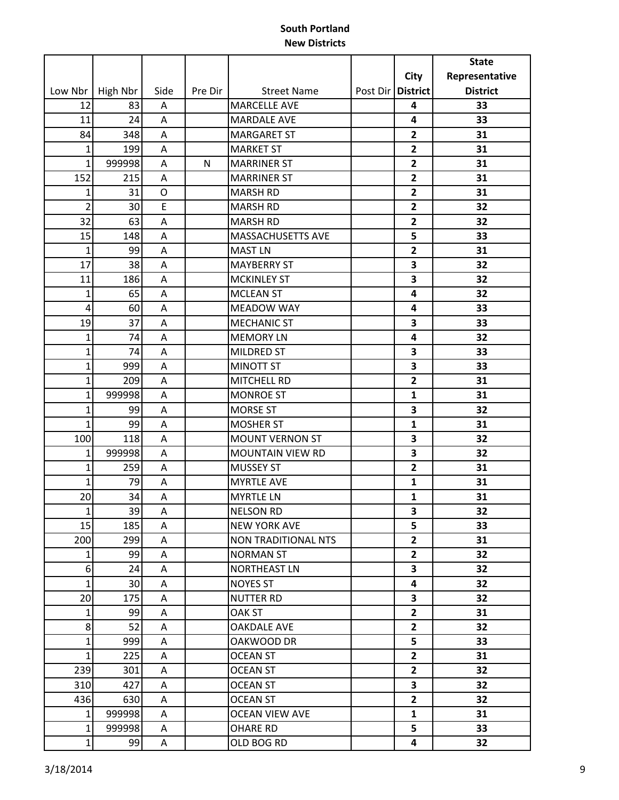|                  |          |             |         |                         |                   |                         | <b>State</b>    |
|------------------|----------|-------------|---------|-------------------------|-------------------|-------------------------|-----------------|
|                  |          |             |         |                         |                   | City                    | Representative  |
| Low Nbr          | High Nbr | Side        | Pre Dir | <b>Street Name</b>      | Post Dir District |                         | <b>District</b> |
| 12               | 83       | A           |         | <b>MARCELLE AVE</b>     |                   | 4                       | 33              |
| 11               | 24       | Α           |         | <b>MARDALE AVE</b>      |                   | 4                       | 33              |
| 84               | 348      | Α           |         | <b>MARGARET ST</b>      |                   | $\overline{2}$          | 31              |
| 1                | 199      | Α           |         | <b>MARKET ST</b>        |                   | $\overline{2}$          | 31              |
| $\mathbf{1}$     | 999998   | Α           | N       | <b>MARRINER ST</b>      |                   | $\overline{2}$          | 31              |
| 152              | 215      | A           |         | <b>MARRINER ST</b>      |                   | $\mathbf{2}$            | 31              |
| $\mathbf{1}$     | 31       | O           |         | <b>MARSH RD</b>         |                   | $\overline{2}$          | 31              |
| $\overline{2}$   | 30       | E           |         | <b>MARSH RD</b>         |                   | $\overline{2}$          | 32              |
| 32               | 63       | A           |         | <b>MARSH RD</b>         |                   | $\mathbf{2}$            | 32              |
| 15               | 148      | A           |         | MASSACHUSETTS AVE       |                   | 5                       | 33              |
| $\mathbf{1}$     | 99       | A           |         | <b>MAST LN</b>          |                   | $\overline{2}$          | 31              |
| 17               | 38       | Α           |         | <b>MAYBERRY ST</b>      |                   | 3                       | 32              |
| 11               | 186      | A           |         | <b>MCKINLEY ST</b>      |                   | 3                       | 32              |
| $\mathbf{1}$     | 65       | A           |         | <b>MCLEAN ST</b>        |                   | 4                       | 32              |
| $\overline{4}$   | 60       | Α           |         | <b>MEADOW WAY</b>       |                   | 4                       | 33              |
| 19               | 37       | Α           |         | <b>MECHANIC ST</b>      |                   | 3                       | 33              |
| $\mathbf{1}$     | 74       | A           |         | <b>MEMORY LN</b>        |                   | 4                       | 32              |
| $\mathbf{1}$     | 74       | Α           |         | MILDRED ST              |                   | 3                       | 33              |
| $\mathbf{1}$     | 999      | A           |         | <b>MINOTT ST</b>        |                   | 3                       | 33              |
| $\mathbf{1}$     | 209      | Α           |         | MITCHELL RD             |                   | $\overline{2}$          | 31              |
| $\mathbf{1}$     | 999998   | Α           |         | <b>MONROE ST</b>        |                   | $\mathbf{1}$            | 31              |
| $\mathbf{1}$     | 99       | Α           |         | <b>MORSE ST</b>         |                   | 3                       | 32              |
| $\mathbf{1}$     | 99       | Α           |         | <b>MOSHER ST</b>        |                   | $\mathbf{1}$            | 31              |
| 100              | 118      | A           |         | <b>MOUNT VERNON ST</b>  |                   | 3                       | 32              |
| $\mathbf{1}$     | 999998   | A           |         | <b>MOUNTAIN VIEW RD</b> |                   | 3                       | 32              |
| $\mathbf{1}$     | 259      | A           |         | <b>MUSSEY ST</b>        |                   | $\overline{2}$          | 31              |
| $\mathbf{1}$     | 79       | Α           |         | <b>MYRTLE AVE</b>       |                   | 1                       | 31              |
| 20               | 34       | A           |         | <b>MYRTLE LN</b>        |                   | $\mathbf{1}$            | 31              |
| $1\vert$         | 39       | $\mathsf A$ |         | <b>NELSON RD</b>        |                   | 3                       | 32              |
| 15               | 185      | A           |         | <b>NEW YORK AVE</b>     |                   | 5                       | 33              |
| 200              | 299      | A           |         | NON TRADITIONAL NTS     |                   | $\overline{2}$          | 31              |
| $\mathbf{1}$     | 99       | A           |         | <b>NORMAN ST</b>        |                   | $\mathbf{2}$            | 32              |
| $\boldsymbol{6}$ | 24       | A           |         | NORTHEAST LN            |                   | $\overline{\mathbf{3}}$ | 32              |
| $\mathbf{1}$     | 30       | A           |         | <b>NOYES ST</b>         |                   | 4                       | 32              |
| 20               | 175      | A           |         | NUTTER RD               |                   | 3                       | 32              |
| $\mathbf{1}$     | 99       | A           |         | OAK ST                  |                   | $\overline{2}$          | 31              |
| $\bf 8$          | 52       | Α           |         | <b>OAKDALE AVE</b>      |                   | $\mathbf{2}$            | 32              |
| $\mathbf{1}$     | 999      | A           |         | OAKWOOD DR              |                   | 5                       | 33              |
| $\mathbf{1}$     | 225      | A           |         | OCEAN ST                |                   | $\overline{2}$          | 31              |
| 239              | 301      | A           |         | <b>OCEAN ST</b>         |                   | $\mathbf{2}$            | 32              |
| 310              | 427      | A           |         | <b>OCEAN ST</b>         |                   | $\overline{\mathbf{3}}$ | 32              |
| 436              | 630      | Α           |         | <b>OCEAN ST</b>         |                   | $\overline{2}$          | 32              |
| $1\vert$         | 999998   | A           |         | <b>OCEAN VIEW AVE</b>   |                   | $\mathbf{1}$            | 31              |
| $\mathbf{1}$     | 999998   | A           |         | <b>OHARE RD</b>         |                   | 5                       | 33              |
| $1\vert$         | 99       | A           |         | OLD BOG RD              |                   | 4                       | 32              |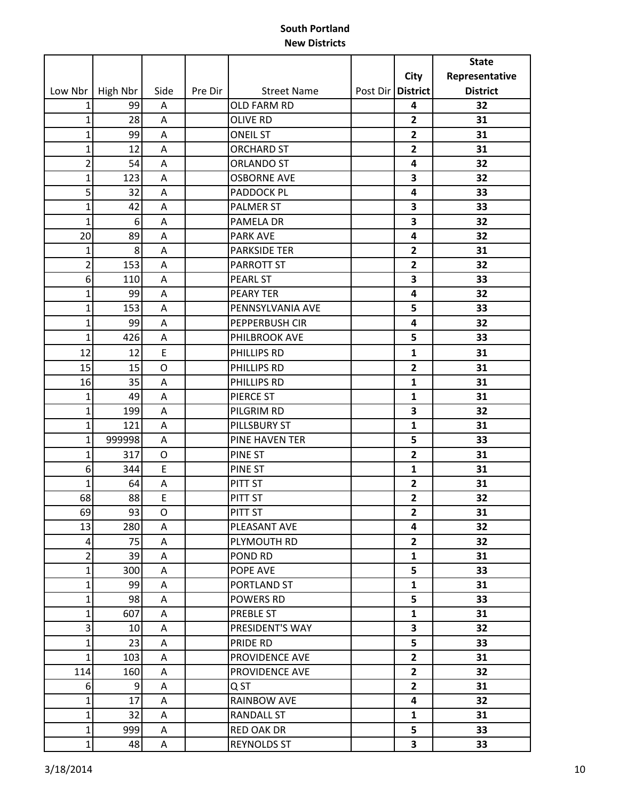|                |          |      |         |                     |                   |                         | <b>State</b>    |
|----------------|----------|------|---------|---------------------|-------------------|-------------------------|-----------------|
|                |          |      |         |                     |                   | City                    | Representative  |
| Low Nbr        | High Nbr | Side | Pre Dir | <b>Street Name</b>  | Post Dir District |                         | <b>District</b> |
| 1              | 99       | Α    |         | OLD FARM RD         |                   | 4                       | 32              |
| $\mathbf{1}$   | 28       | Α    |         | <b>OLIVE RD</b>     |                   | $\overline{2}$          | 31              |
| $\mathbf{1}$   | 99       | A    |         | <b>ONEIL ST</b>     |                   | $\overline{\mathbf{2}}$ | 31              |
| $\mathbf{1}$   | 12       | Α    |         | <b>ORCHARD ST</b>   |                   | $\overline{\mathbf{2}}$ | 31              |
| $\overline{2}$ | 54       | A    |         | <b>ORLANDO ST</b>   |                   | 4                       | 32              |
| $\mathbf{1}$   | 123      | Α    |         | <b>OSBORNE AVE</b>  |                   | 3                       | 32              |
| 5              | 32       | A    |         | <b>PADDOCK PL</b>   |                   | 4                       | 33              |
| $\mathbf{1}$   | 42       | A    |         | <b>PALMER ST</b>    |                   | 3                       | 33              |
| $\mathbf{1}$   | 6        | Α    |         | PAMELA DR           |                   | 3                       | 32              |
| 20             | 89       | Α    |         | <b>PARK AVE</b>     |                   | 4                       | 32              |
| $\mathbf{1}$   | 8        | A    |         | <b>PARKSIDE TER</b> |                   | $\mathbf{2}$            | 31              |
| $\overline{2}$ | 153      | A    |         | PARROTT ST          |                   | $\overline{2}$          | 32              |
| 6              | 110      | Α    |         | <b>PEARL ST</b>     |                   | 3                       | 33              |
| $\mathbf{1}$   | 99       | Α    |         | <b>PEARY TER</b>    |                   | 4                       | 32              |
| $\mathbf{1}$   | 153      | Α    |         | PENNSYLVANIA AVE    |                   | 5                       | 33              |
| $\mathbf{1}$   | 99       | A    |         | PEPPERBUSH CIR      |                   | 4                       | 32              |
| $\mathbf{1}$   | 426      | Α    |         | PHILBROOK AVE       |                   | 5                       | 33              |
| 12             | 12       | E    |         | PHILLIPS RD         |                   | 1                       | 31              |
| 15             | 15       | O    |         | PHILLIPS RD         |                   | $\overline{2}$          | 31              |
| 16             | 35       | Α    |         | PHILLIPS RD         |                   | $\mathbf{1}$            | 31              |
| $\mathbf{1}$   | 49       | Α    |         | PIERCE ST           |                   | 1                       | 31              |
| $\mathbf{1}$   | 199      | A    |         | PILGRIM RD          |                   | 3                       | 32              |
| $\mathbf{1}$   | 121      | A    |         | PILLSBURY ST        |                   | $\mathbf{1}$            | 31              |
| $\mathbf{1}$   | 999998   | A    |         | PINE HAVEN TER      |                   | 5                       | 33              |
| $\mathbf{1}$   | 317      | O    |         | <b>PINE ST</b>      |                   | $\overline{2}$          | 31              |
| 6              | 344      | E    |         | PINE ST             |                   | $\mathbf{1}$            | 31              |
| $\mathbf{1}$   | 64       | A    |         | PITT ST             |                   | $\overline{2}$          | 31              |
| 68             | 88       | E    |         | PITT ST             |                   | $\overline{2}$          | 32              |
| 69             | 93       | O    |         | PITT ST             |                   | $\overline{\mathbf{c}}$ | 31              |
| 13             | 280      | A    |         | PLEASANT AVE        |                   | 4                       | 32              |
| $\overline{4}$ | 75       | Α    |         | PLYMOUTH RD         |                   | $\overline{2}$          | 32              |
| $\overline{2}$ | 39       | A    |         | POND RD             |                   | $\mathbf{1}$            | 31              |
| $\mathbf{1}$   | 300      | A    |         | POPE AVE            |                   | 5                       | 33              |
| $\mathbf{1}$   | 99       | A    |         | PORTLAND ST         |                   | $\mathbf{1}$            | 31              |
| $\mathbf{1}$   | 98       | A    |         | <b>POWERS RD</b>    |                   | 5                       | 33              |
| $\mathbf{1}$   | 607      | Α    |         | PREBLE ST           |                   | $\mathbf{1}$            | 31              |
| 3              | 10       | A    |         | PRESIDENT'S WAY     |                   | 3                       | 32              |
| $\mathbf{1}$   | 23       | A    |         | PRIDE RD            |                   | 5                       | 33              |
| $\mathbf{1}$   | 103      | Α    |         | PROVIDENCE AVE      |                   | $\overline{2}$          | 31              |
| 114            | 160      | A    |         | PROVIDENCE AVE      |                   | $\overline{2}$          | 32              |
| 6              | 9        | A    |         | Q ST                |                   | $\overline{2}$          | 31              |
| $\mathbf{1}$   | 17       | A    |         | RAINBOW AVE         |                   | 4                       | 32              |
| $\mathbf{1}$   | 32       | A    |         | <b>RANDALL ST</b>   |                   | $\mathbf{1}$            | 31              |
| $\mathbf{1}$   | 999      | A    |         | <b>RED OAK DR</b>   |                   | 5                       | 33              |
| $\mathbf{1}$   | 48       | A    |         | <b>REYNOLDS ST</b>  |                   | $\overline{\mathbf{3}}$ | 33              |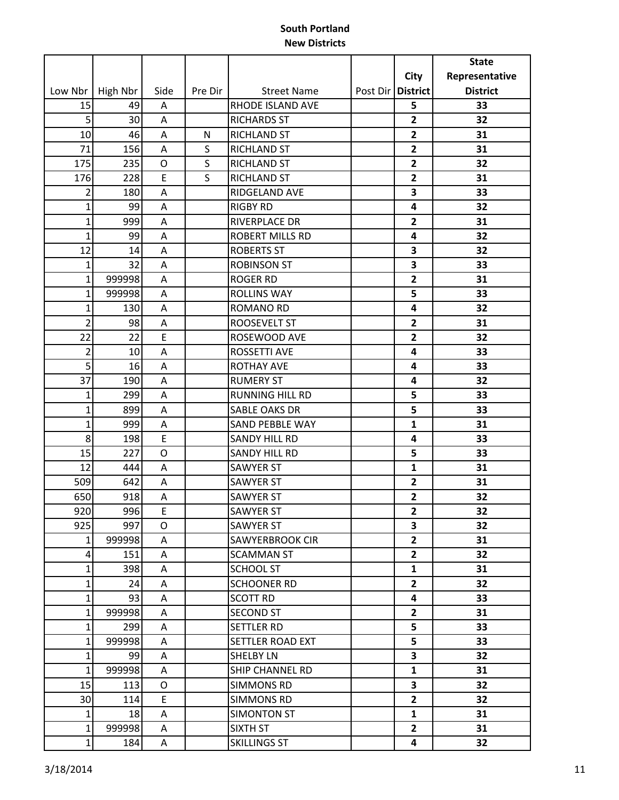|                |          |      |         |                        |                         | <b>State</b>    |
|----------------|----------|------|---------|------------------------|-------------------------|-----------------|
|                |          |      |         |                        | <b>City</b>             | Representative  |
| Low Nbr        | High Nbr | Side | Pre Dir | <b>Street Name</b>     | Post Dir   District     | <b>District</b> |
| 15             | 49       | Α    |         | RHODE ISLAND AVE       | 5                       | 33              |
| 5              | 30       | A    |         | <b>RICHARDS ST</b>     | $\overline{2}$          | 32              |
| 10             | 46       | A    | N       | <b>RICHLAND ST</b>     | $\overline{2}$          | 31              |
| 71             | 156      | Α    | S       | RICHLAND ST            | $\overline{2}$          | 31              |
| 175            | 235      | O    | S       | RICHLAND ST            | $\overline{2}$          | 32              |
| 176            | 228      | E    | S       | <b>RICHLAND ST</b>     | $\overline{2}$          | 31              |
| $\overline{2}$ | 180      | A    |         | RIDGELAND AVE          | 3                       | 33              |
| $\mathbf 1$    | 99       | A    |         | <b>RIGBY RD</b>        | 4                       | 32              |
| $\mathbf{1}$   | 999      | A    |         | RIVERPLACE DR          | $\overline{2}$          | 31              |
| $\mathbf{1}$   | 99       | A    |         | <b>ROBERT MILLS RD</b> | 4                       | 32              |
| 12             | 14       | A    |         | <b>ROBERTS ST</b>      | 3                       | 32              |
| $\mathbf{1}$   | 32       | Α    |         | <b>ROBINSON ST</b>     | 3                       | 33              |
| $\mathbf{1}$   | 999998   | A    |         | <b>ROGER RD</b>        | $\overline{2}$          | 31              |
| $\mathbf{1}$   | 999998   | A    |         | <b>ROLLINS WAY</b>     | 5                       | 33              |
| $\mathbf{1}$   | 130      | A    |         | <b>ROMANO RD</b>       | 4                       | 32              |
| $\overline{2}$ | 98       | A    |         | <b>ROOSEVELT ST</b>    | $\overline{2}$          | 31              |
| 22             | 22       | E    |         | ROSEWOOD AVE           | $\overline{2}$          | 32              |
| $\overline{2}$ | 10       | Α    |         | <b>ROSSETTI AVE</b>    | 4                       | 33              |
| 5              | 16       | A    |         | <b>ROTHAY AVE</b>      | 4                       | 33              |
| 37             | 190      | A    |         | <b>RUMERY ST</b>       | 4                       | 32              |
| 1              | 299      | Α    |         | <b>RUNNING HILL RD</b> | 5                       | 33              |
| $\mathbf{1}$   | 899      | A    |         | <b>SABLE OAKS DR</b>   | 5                       | 33              |
| $\mathbf{1}$   | 999      | Α    |         | <b>SAND PEBBLE WAY</b> | $\mathbf{1}$            | 31              |
| 8              | 198      | E    |         | <b>SANDY HILL RD</b>   | 4                       | 33              |
| 15             | 227      | O    |         | <b>SANDY HILL RD</b>   | 5                       | 33              |
| 12             | 444      | Α    |         | <b>SAWYER ST</b>       | $\mathbf{1}$            | 31              |
| 509            | 642      | Α    |         | <b>SAWYER ST</b>       | $\overline{\mathbf{2}}$ | 31              |
| 650            | 918      | А    |         | <b>SAWYER ST</b>       | $\overline{2}$          | 32              |
| 920            | 996      | E    |         | <b>SAWYER ST</b>       | $\mathbf{2}$            | 32              |
| 925            | 997      | 0    |         | <b>SAWYER ST</b>       | 3                       | 32              |
| $\mathbf{1}$   | 999998   | A    |         | SAWYERBROOK CIR        | $\overline{2}$          | 31              |
| 4              | 151      | Α    |         | <b>SCAMMAN ST</b>      | $\mathbf{2}$            | 32              |
| $\mathbf{1}$   | 398      | A    |         | <b>SCHOOL ST</b>       | $\mathbf{1}$            | 31              |
| $\mathbf{1}$   | 24       | A    |         | <b>SCHOONER RD</b>     | $\overline{2}$          | 32              |
| $\mathbf 1$    | 93       | A    |         | <b>SCOTT RD</b>        | 4                       | 33              |
| $\mathbf 1$    | 999998   | Α    |         | <b>SECOND ST</b>       | $\overline{2}$          | 31              |
| $\mathbf{1}$   | 299      | Α    |         | SETTLER RD             | 5                       | 33              |
| 1              | 999998   | A    |         | SETTLER ROAD EXT       | 5                       | 33              |
| $\mathbf{1}$   | 99       | A    |         | <b>SHELBY LN</b>       | 3                       | 32              |
| $\mathbf{1}$   | 999998   | Α    |         | SHIP CHANNEL RD        | $\mathbf{1}$            | 31              |
| 15             | 113      | O    |         | <b>SIMMONS RD</b>      | $\overline{\mathbf{3}}$ | 32              |
| 30             | 114      | E    |         | <b>SIMMONS RD</b>      | $\overline{2}$          | 32              |
| $\mathbf{1}$   | 18       | A    |         | SIMONTON ST            | $\mathbf{1}$            | 31              |
| $\mathbf 1$    | 999998   | A    |         | SIXTH ST               | $\overline{2}$          | 31              |
| $\mathbf{1}$   | 184      | A    |         | SKILLINGS ST           | 4                       | 32              |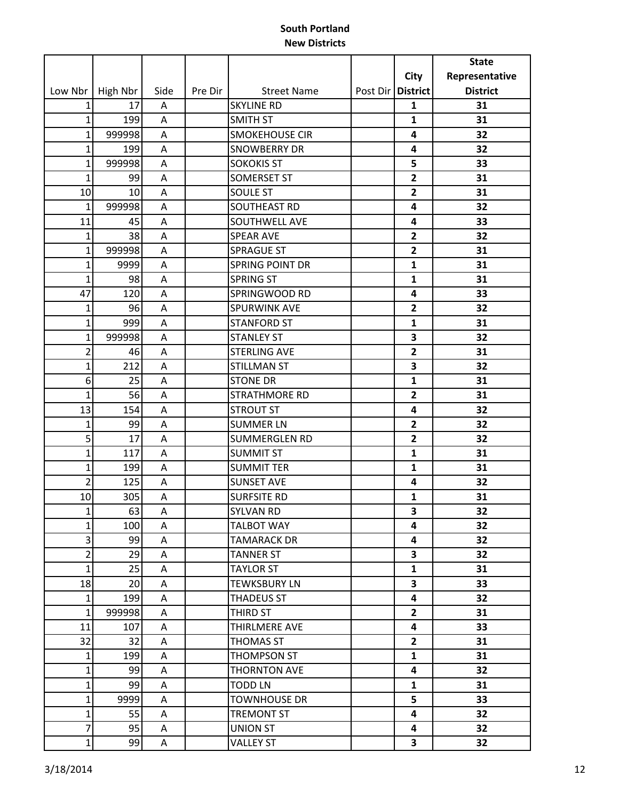|                |          |      |         |                       |          |                         | <b>State</b>    |
|----------------|----------|------|---------|-----------------------|----------|-------------------------|-----------------|
|                |          |      |         |                       |          | City                    | Representative  |
| Low Nbr        | High Nbr | Side | Pre Dir | <b>Street Name</b>    | Post Dir | <b>District</b>         | <b>District</b> |
| 1              | 17       | A    |         | <b>SKYLINE RD</b>     |          | 1                       | 31              |
| $\mathbf 1$    | 199      | A    |         | <b>SMITH ST</b>       |          | $\mathbf{1}$            | 31              |
| $\mathbf{1}$   | 999998   | A    |         | <b>SMOKEHOUSE CIR</b> |          | 4                       | 32              |
| $\mathbf{1}$   | 199      | A    |         | <b>SNOWBERRY DR</b>   |          | 4                       | 32              |
| $\mathbf{1}$   | 999998   | A    |         | <b>SOKOKIS ST</b>     |          | 5                       | 33              |
| $\mathbf{1}$   | 99       | Α    |         | <b>SOMERSET ST</b>    |          | $\overline{\mathbf{2}}$ | 31              |
| 10             | 10       | A    |         | <b>SOULE ST</b>       |          | $\overline{2}$          | 31              |
| $\mathbf{1}$   | 999998   | A    |         | SOUTHEAST RD          |          | 4                       | 32              |
| 11             | 45       | A    |         | SOUTHWELL AVE         |          | 4                       | 33              |
| $\mathbf 1$    | 38       | A    |         | <b>SPEAR AVE</b>      |          | $\overline{2}$          | 32              |
| $\mathbf 1$    | 999998   | A    |         | <b>SPRAGUE ST</b>     |          | $\mathbf{2}$            | 31              |
| $\mathbf{1}$   | 9999     | Α    |         | SPRING POINT DR       |          | $\mathbf{1}$            | 31              |
| $\mathbf{1}$   | 98       | A    |         | <b>SPRING ST</b>      |          | $\mathbf{1}$            | 31              |
| 47             | 120      | A    |         | SPRINGWOOD RD         |          | 4                       | 33              |
| $\mathbf{1}$   | 96       | A    |         | SPURWINK AVE          |          | $\overline{2}$          | 32              |
| $\mathbf{1}$   | 999      | A    |         | <b>STANFORD ST</b>    |          | $\mathbf{1}$            | 31              |
| $\mathbf{1}$   | 999998   | Α    |         | <b>STANLEY ST</b>     |          | 3                       | 32              |
| $\overline{2}$ | 46       | Α    |         | <b>STERLING AVE</b>   |          | $\overline{2}$          | 31              |
| $\mathbf{1}$   | 212      | Α    |         | <b>STILLMAN ST</b>    |          | 3                       | 32              |
| 6              | 25       | A    |         | <b>STONE DR</b>       |          | $\mathbf{1}$            | 31              |
| $\mathbf{1}$   | 56       | A    |         | <b>STRATHMORE RD</b>  |          | $\overline{2}$          | 31              |
| 13             | 154      | Α    |         | <b>STROUT ST</b>      |          | 4                       | 32              |
| $\mathbf{1}$   | 99       | Α    |         | <b>SUMMER LN</b>      |          | $\overline{2}$          | 32              |
| 5              | 17       | A    |         | <b>SUMMERGLEN RD</b>  |          | $\overline{2}$          | 32              |
| $\mathbf{1}$   | 117      | A    |         | <b>SUMMIT ST</b>      |          | $\mathbf{1}$            | 31              |
| $\mathbf{1}$   | 199      | Α    |         | <b>SUMMIT TER</b>     |          | $\mathbf{1}$            | 31              |
| $\overline{2}$ | 125      | A    |         | <b>SUNSET AVE</b>     |          | 4                       | 32              |
| 10             | 305      | A    |         | <b>SURFSITE RD</b>    |          | $\mathbf{1}$            | 31              |
| 1              | 63       | Α    |         | SYLVAN RD             |          | 3                       | 32              |
| $\mathbf{1}$   | 100      | Α    |         | <b>TALBOT WAY</b>     |          | 4                       | 32              |
| 3              | 99       | Α    |         | <b>TAMARACK DR</b>    |          | 4                       | 32              |
| $\overline{2}$ | 29       | A    |         | <b>TANNER ST</b>      |          | 3                       | 32              |
| $\mathbf{1}$   | 25       | Α    |         | <b>TAYLOR ST</b>      |          | $\mathbf{1}$            | 31              |
| 18             | 20       | A    |         | <b>TEWKSBURY LN</b>   |          | 3                       | 33              |
| $\mathbf 1$    | 199      | A    |         | <b>THADEUS ST</b>     |          | 4                       | 32              |
| $\mathbf{1}$   | 999998   | A    |         | THIRD ST              |          | $\overline{2}$          | 31              |
| 11             | 107      | Α    |         | THIRLMERE AVE         |          | 4                       | 33              |
| 32             | 32       | A    |         | <b>THOMAS ST</b>      |          | $\overline{2}$          | 31              |
| $\mathbf{1}$   | 199      | Α    |         | THOMPSON ST           |          | $\mathbf{1}$            | 31              |
| $\mathbf{1}$   | 99       | A    |         | <b>THORNTON AVE</b>   |          | 4                       | 32              |
| $\mathbf{1}$   | 99       | Α    |         | <b>TODD LN</b>        |          | $\mathbf{1}$            | 31              |
| $\mathbf 1$    | 9999     | Α    |         | <b>TOWNHOUSE DR</b>   |          | 5                       | 33              |
| $\mathbf{1}$   | 55       | A    |         | <b>TREMONT ST</b>     |          | 4                       | 32              |
| $\overline{7}$ | 95       | A    |         | <b>UNION ST</b>       |          | 4                       | 32              |
| $\mathbf 1$    | 99       | Α    |         | <b>VALLEY ST</b>      |          | 3                       | 32              |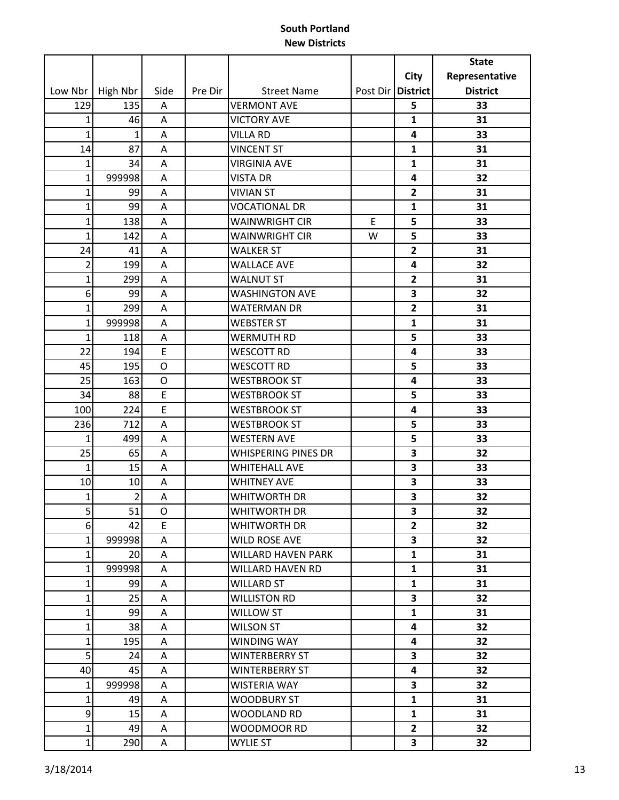|                |                |             |         |                       |          |                         | <b>State</b>    |
|----------------|----------------|-------------|---------|-----------------------|----------|-------------------------|-----------------|
|                |                |             |         |                       |          | <b>City</b>             | Representative  |
| Low Nbr        | High Nbr       | Side        | Pre Dir | <b>Street Name</b>    | Post Dir | <b>District</b>         | <b>District</b> |
| 129            | 135            | A           |         | <b>VERMONT AVE</b>    |          | 5                       | 33              |
| $\mathbf{1}$   | 46             | Α           |         | <b>VICTORY AVE</b>    |          | $\mathbf{1}$            | 31              |
| $\mathbf{1}$   | $\mathbf{1}$   | A           |         | <b>VILLA RD</b>       |          | 4                       | 33              |
| 14             | 87             | Α           |         | <b>VINCENT ST</b>     |          | 1                       | 31              |
| $\mathbf{1}$   | 34             | A           |         | <b>VIRGINIA AVE</b>   |          | $\mathbf{1}$            | 31              |
| $\mathbf{1}$   | 999998         | A           |         | <b>VISTA DR</b>       |          | 4                       | 32              |
| $\mathbf{1}$   | 99             | A           |         | <b>VIVIAN ST</b>      |          | $\overline{2}$          | 31              |
| $\mathbf{1}$   | 99             | A           |         | <b>VOCATIONAL DR</b>  |          | $\mathbf{1}$            | 31              |
| $\mathbf{1}$   | 138            | Α           |         | <b>WAINWRIGHT CIR</b> | E        | 5                       | 33              |
| $\mathbf{1}$   | 142            | A           |         | <b>WAINWRIGHT CIR</b> | W        | 5                       | 33              |
| 24             | 41             | A           |         | <b>WALKER ST</b>      |          | $\overline{2}$          | 31              |
| $\overline{2}$ | 199            | Α           |         | <b>WALLACE AVE</b>    |          | 4                       | 32              |
| $\mathbf{1}$   | 299            | Α           |         | <b>WALNUT ST</b>      |          | $\overline{2}$          | 31              |
| 6              | 99             | A           |         | <b>WASHINGTON AVE</b> |          | 3                       | 32              |
| $\mathbf{1}$   | 299            | Α           |         | <b>WATERMAN DR</b>    |          | $\overline{2}$          | 31              |
| $\mathbf{1}$   | 999998         | A           |         | <b>WEBSTER ST</b>     |          | $\mathbf{1}$            | 31              |
| $\mathbf{1}$   | 118            | Α           |         | WERMUTH RD            |          | 5                       | 33              |
| 22             | 194            | E           |         | <b>WESCOTT RD</b>     |          | 4                       | 33              |
| 45             | 195            | $\circ$     |         | <b>WESCOTT RD</b>     |          | 5                       | 33              |
| 25             | 163            | O           |         | <b>WESTBROOK ST</b>   |          | 4                       | 33              |
| 34             | 88             | E           |         | <b>WESTBROOK ST</b>   |          | 5                       | 33              |
| 100            | 224            | E           |         | <b>WESTBROOK ST</b>   |          | 4                       | 33              |
| 236            | 712            | Α           |         | <b>WESTBROOK ST</b>   |          | 5                       | 33              |
| 1              | 499            | A           |         | <b>WESTERN AVE</b>    |          | 5                       | 33              |
| 25             | 65             | Α           |         | WHISPERING PINES DR   |          | 3                       | 32              |
| $\mathbf{1}$   | 15             | Α           |         | <b>WHITEHALL AVE</b>  |          | 3                       | 33              |
| 10             | 10             | A           |         | <b>WHITNEY AVE</b>    |          | 3                       | 33              |
| $\mathbf{1}$   | $\overline{2}$ | Α           |         | WHITWORTH DR          |          | 3                       | 32              |
| $\overline{5}$ | 51             | $\mathsf O$ |         | WHITWORTH DR          |          | 3                       | 32              |
| 6              | 42             | E           |         | WHITWORTH DR          |          | $\overline{2}$          | 32              |
| $\mathbf{1}$   | 999998         | A           |         | WILD ROSE AVE         |          | 3                       | 32              |
| $\mathbf{1}$   | 20             | A           |         | WILLARD HAVEN PARK    |          | $\mathbf{1}$            | 31              |
| $\mathbf{1}$   | 999998         | A           |         | WILLARD HAVEN RD      |          | $\mathbf{1}$            | 31              |
| $\mathbf{1}$   | 99             | A           |         | <b>WILLARD ST</b>     |          | $\mathbf{1}$            | 31              |
| $\mathbf{1}$   | 25             | A           |         | <b>WILLISTON RD</b>   |          | $\overline{\mathbf{3}}$ | 32              |
| $\mathbf{1}$   | 99             | A           |         | WILLOW ST             |          | $\mathbf{1}$            | 31              |
| $\mathbf{1}$   | 38             | Α           |         | <b>WILSON ST</b>      |          | 4                       | 32              |
| $\mathbf{1}$   | 195            | A           |         | WINDING WAY           |          | 4                       | 32              |
| 5              | 24             | A           |         | <b>WINTERBERRY ST</b> |          | 3                       | 32              |
| 40             | 45             | A           |         | WINTERBERRY ST        |          | 4                       | 32              |
| $\mathbf{1}$   | 999998         | A           |         | <b>WISTERIA WAY</b>   |          | 3                       | 32              |
| $\mathbf{1}$   | 49             | A           |         | <b>WOODBURY ST</b>    |          | $\mathbf{1}$            | 31              |
| 9              | 15             | A           |         | WOODLAND RD           |          | $\mathbf{1}$            | 31              |
| $\mathbf 1$    | 49             | A           |         | WOODMOOR RD           |          | $\mathbf{2}$            | 32              |
| $\mathbf{1}$   | 290            | A           |         | WYLIE ST              |          | $\mathbf{3}$            | 32              |